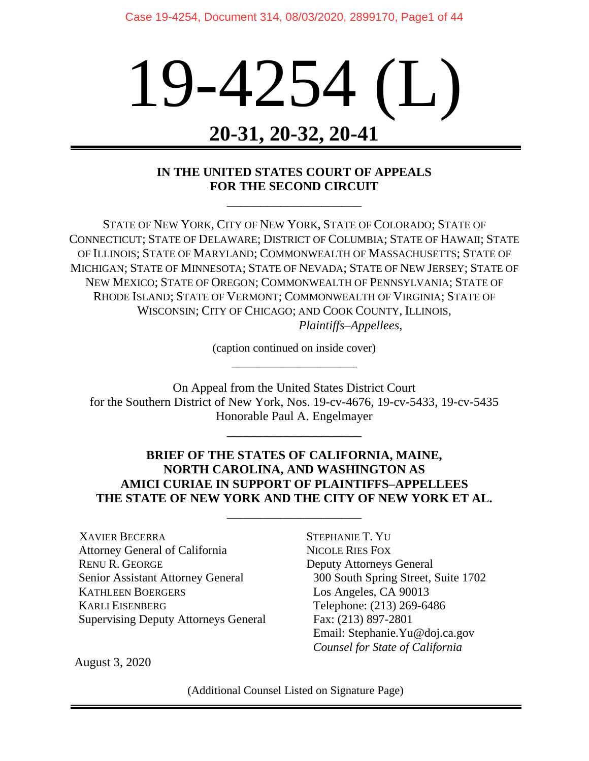# 19-4254 (L)

# **20-31, 20-32, 20-41**

#### **IN THE UNITED STATES COURT OF APPEALS FOR THE SECOND CIRCUIT**

\_\_\_\_\_\_\_\_\_\_\_\_\_\_\_\_\_\_\_\_

STATE OF NEW YORK, CITY OF NEW YORK, STATE OF COLORADO; STATE OF CONNECTICUT; STATE OF DELAWARE; DISTRICT OF COLUMBIA; STATE OF HAWAII; STATE OF ILLINOIS; STATE OF MARYLAND; COMMONWEALTH OF MASSACHUSETTS; STATE OF MICHIGAN; STATE OF MINNESOTA; STATE OF NEVADA; STATE OF NEW JERSEY; STATE OF NEW MEXICO; STATE OF OREGON; COMMONWEALTH OF PENNSYLVANIA; STATE OF RHODE ISLAND; STATE OF VERMONT; COMMONWEALTH OF VIRGINIA; STATE OF WISCONSIN; CITY OF CHICAGO; AND COOK COUNTY, ILLINOIS, *Plaintiffs–Appellees*,

> (caption continued on inside cover) \_\_\_\_\_\_\_\_\_\_\_\_\_\_\_\_\_\_\_\_

On Appeal from the United States District Court for the Southern District of New York, Nos. 19-cv-4676, 19-cv-5433, 19-cv-5435 Honorable Paul A. Engelmayer

\_\_\_\_\_\_\_\_\_\_\_\_\_\_\_\_\_\_\_\_

#### **BRIEF OF THE STATES OF CALIFORNIA, MAINE, NORTH CAROLINA, AND WASHINGTON AS AMICI CURIAE IN SUPPORT OF PLAINTIFFS–APPELLEES THE STATE OF NEW YORK AND THE CITY OF NEW YORK ET AL.**

\_\_\_\_\_\_\_\_\_\_\_\_\_\_\_\_\_\_\_\_

XAVIER BECERRA Attorney General of California RENU R. GEORGE Senior Assistant Attorney General KATHLEEN BOERGERS KARLI EISENBERG Supervising Deputy Attorneys General STEPHANIE T. YU NICOLE RIES FOX Deputy Attorneys General 300 South Spring Street, Suite 1702 Los Angeles, CA 90013 Telephone: (213) 269-6486 Fax: (213) 897-2801 Email: Stephanie.Yu@doj.ca.gov *Counsel for State of California*

August 3, 2020

(Additional Counsel Listed on Signature Page)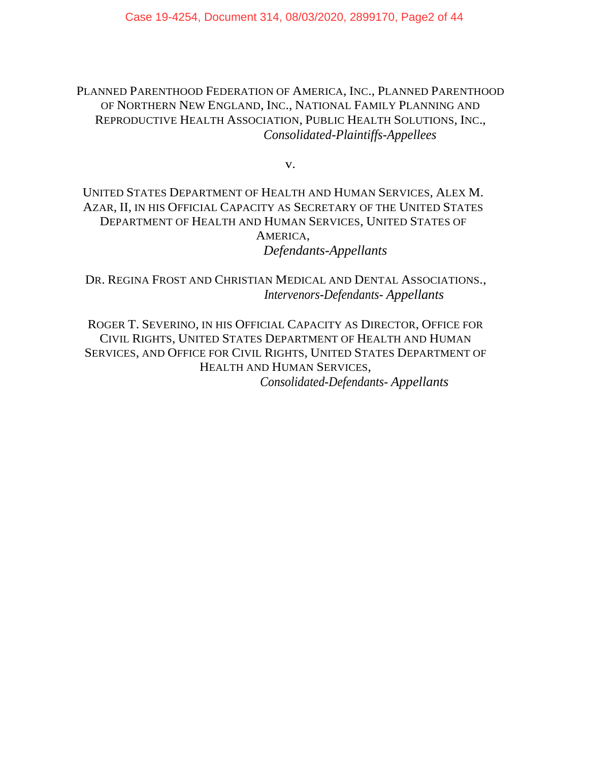PLANNED PARENTHOOD FEDERATION OF AMERICA, INC., PLANNED PARENTHOOD OF NORTHERN NEW ENGLAND, INC., NATIONAL FAMILY PLANNING AND REPRODUCTIVE HEALTH ASSOCIATION, PUBLIC HEALTH SOLUTIONS, INC., *Consolidated-Plaintiffs-Appellees*

v.

### UNITED STATES DEPARTMENT OF HEALTH AND HUMAN SERVICES, ALEX M. AZAR, II, IN HIS OFFICIAL CAPACITY AS SECRETARY OF THE UNITED STATES DEPARTMENT OF HEALTH AND HUMAN SERVICES, UNITED STATES OF AMERICA, *Defendants-Appellants*

DR. REGINA FROST AND CHRISTIAN MEDICAL AND DENTAL ASSOCIATIONS., *Intervenors-Defendants- Appellants*

ROGER T. SEVERINO, IN HIS OFFICIAL CAPACITY AS DIRECTOR, OFFICE FOR CIVIL RIGHTS, UNITED STATES DEPARTMENT OF HEALTH AND HUMAN SERVICES, AND OFFICE FOR CIVIL RIGHTS, UNITED STATES DEPARTMENT OF HEALTH AND HUMAN SERVICES, *Consolidated-Defendants- Appellants*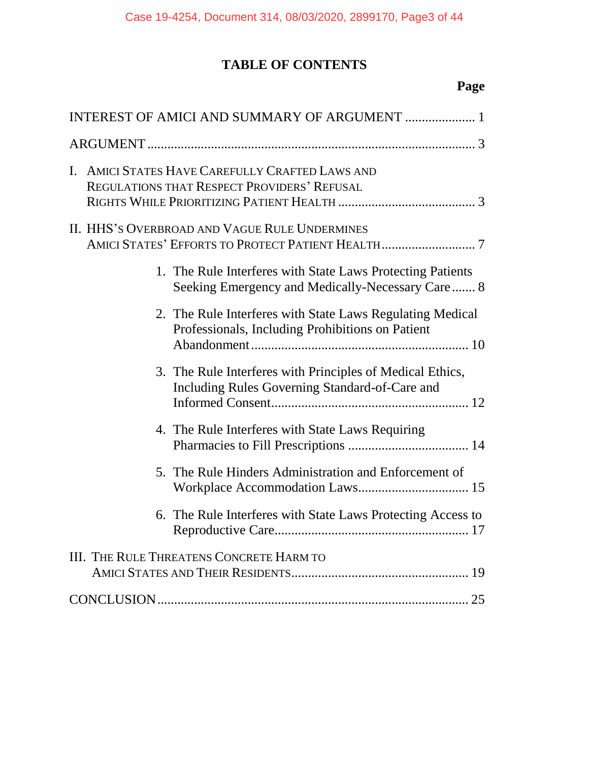# **TABLE OF CONTENTS**

# **Page**

| INTEREST OF AMICI AND SUMMARY OF ARGUMENT  1                                                                   |
|----------------------------------------------------------------------------------------------------------------|
|                                                                                                                |
| I. AMICI STATES HAVE CAREFULLY CRAFTED LAWS AND<br>REGULATIONS THAT RESPECT PROVIDERS' REFUSAL                 |
| II. HHS'S OVERBROAD AND VAGUE RULE UNDERMINES                                                                  |
| 1. The Rule Interferes with State Laws Protecting Patients<br>Seeking Emergency and Medically-Necessary Care 8 |
| 2. The Rule Interferes with State Laws Regulating Medical<br>Professionals, Including Prohibitions on Patient  |
| 3. The Rule Interferes with Principles of Medical Ethics,<br>Including Rules Governing Standard-of-Care and    |
| 4. The Rule Interferes with State Laws Requiring                                                               |
| 5. The Rule Hinders Administration and Enforcement of                                                          |
| 6. The Rule Interferes with State Laws Protecting Access to                                                    |
| III. THE RULE THREATENS CONCRETE HARM TO                                                                       |
|                                                                                                                |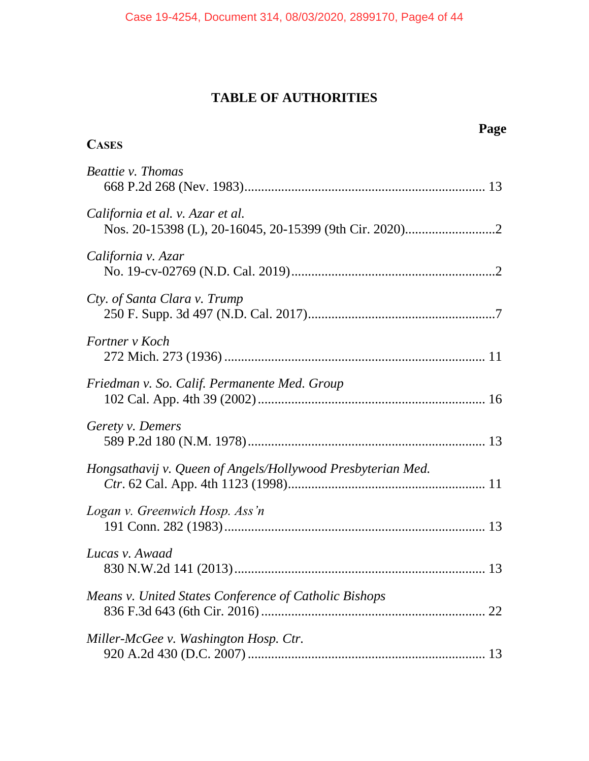# **TABLE OF AUTHORITIES**

| Page<br><b>CASES</b>                                        |
|-------------------------------------------------------------|
| Beattie v. Thomas                                           |
| California et al. v. Azar et al.                            |
| California v. Azar                                          |
| Cty. of Santa Clara v. Trump                                |
| Fortner v Koch                                              |
| Friedman v. So. Calif. Permanente Med. Group                |
| Gerety v. Demers                                            |
| Hongsathavij v. Queen of Angels/Hollywood Presbyterian Med. |
| Logan v. Greenwich Hosp. Ass'n                              |
| Lucas v. Awaad                                              |
| Means v. United States Conference of Catholic Bishops       |
| Miller-McGee v. Washington Hosp. Ctr.                       |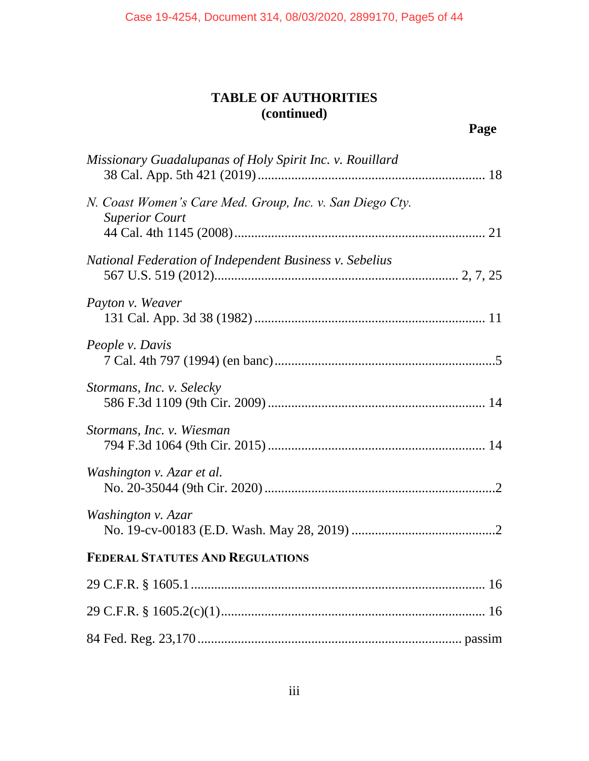| Missionary Guadalupanas of Holy Spirit Inc. v. Rouillard                          |  |
|-----------------------------------------------------------------------------------|--|
| N. Coast Women's Care Med. Group, Inc. v. San Diego Cty.<br><b>Superior Court</b> |  |
| National Federation of Independent Business v. Sebelius                           |  |
| Payton v. Weaver                                                                  |  |
| People v. Davis                                                                   |  |
| Stormans, Inc. v. Selecky                                                         |  |
| Stormans, Inc. v. Wiesman                                                         |  |
| Washington v. Azar et al.                                                         |  |
| Washington v. Azar                                                                |  |
| <b>FEDERAL STATUTES AND REGULATIONS</b>                                           |  |
|                                                                                   |  |
|                                                                                   |  |
|                                                                                   |  |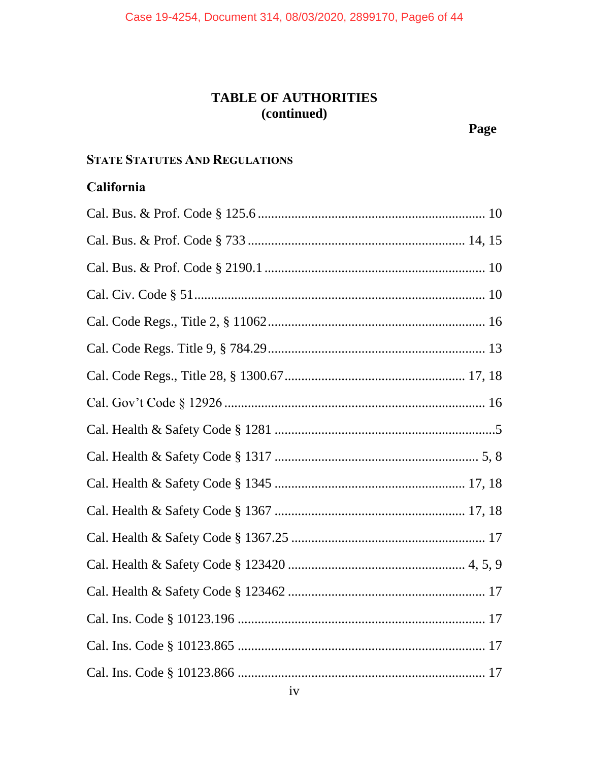## **STATE STATUTES AND REGULATIONS**

## California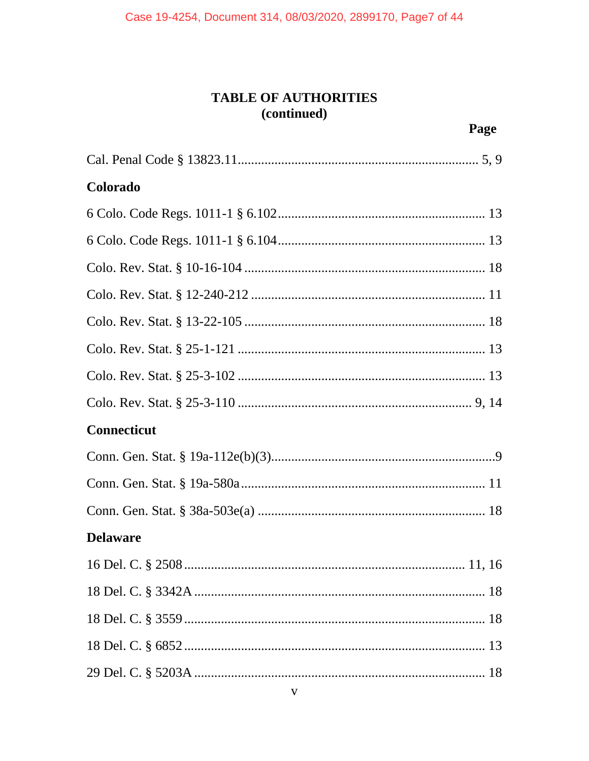| Colorado           |
|--------------------|
|                    |
|                    |
|                    |
|                    |
|                    |
|                    |
|                    |
|                    |
| <b>Connecticut</b> |
|                    |
|                    |
|                    |
|                    |
| <b>Delaware</b>    |
|                    |
|                    |
|                    |
|                    |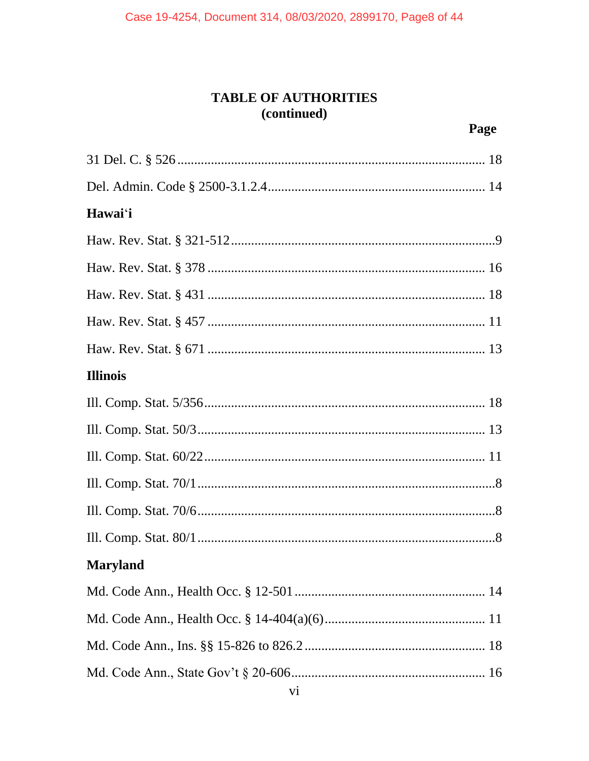| Hawai'i         |
|-----------------|
|                 |
|                 |
|                 |
|                 |
|                 |
| <b>Illinois</b> |
|                 |
|                 |
|                 |
|                 |
|                 |
|                 |
| <b>Maryland</b> |
|                 |
|                 |
|                 |
|                 |
| vi              |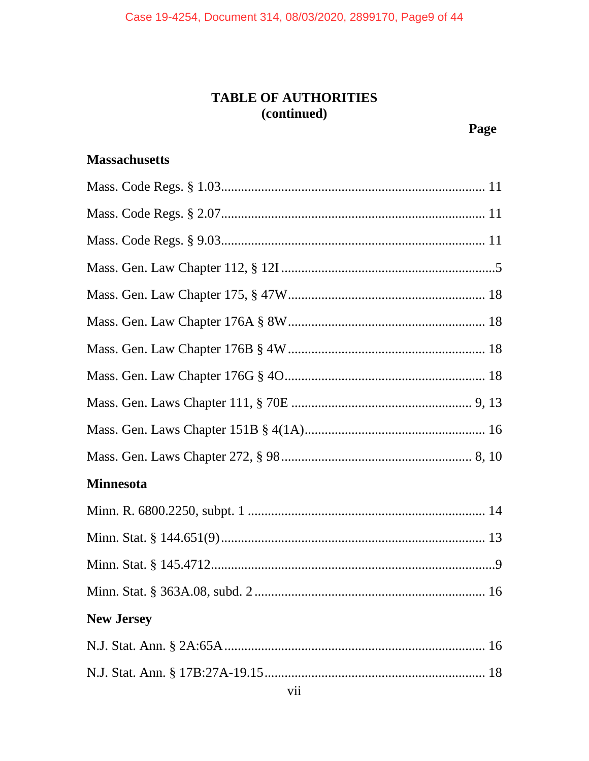# **Massachusetts**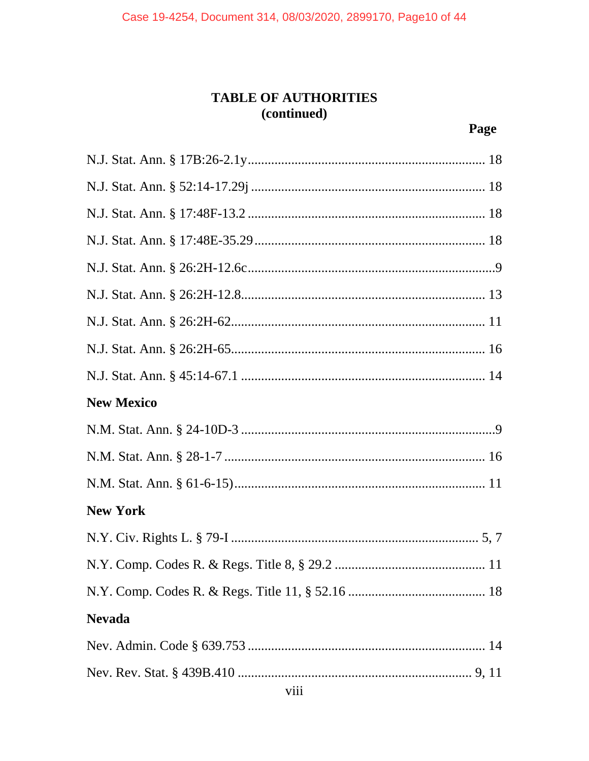| <b>New Mexico</b> |
|-------------------|
|                   |
|                   |
|                   |
| <b>New York</b>   |
|                   |
|                   |
|                   |
|                   |
| <b>Nevada</b>     |
|                   |
|                   |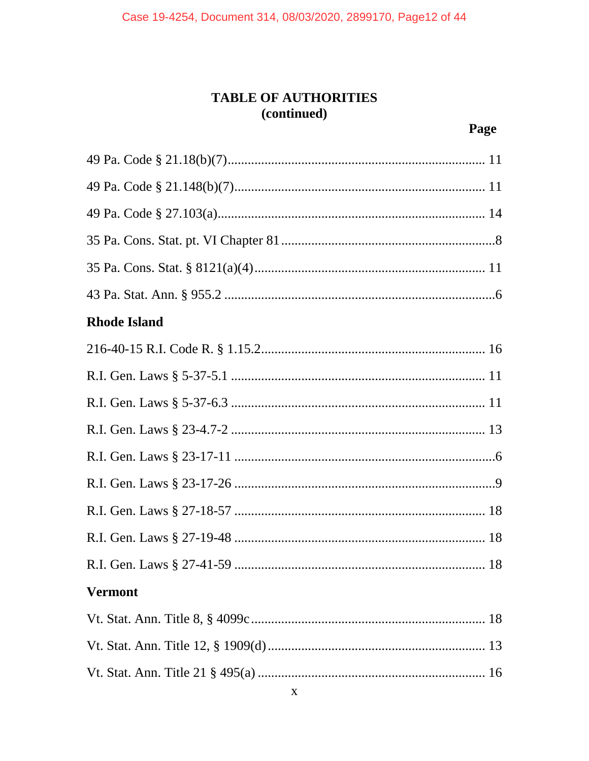| <b>Rhode Island</b> |
|---------------------|
|                     |
|                     |
|                     |
|                     |
|                     |
|                     |
|                     |
|                     |
|                     |
| <b>Vermont</b>      |
|                     |
|                     |
|                     |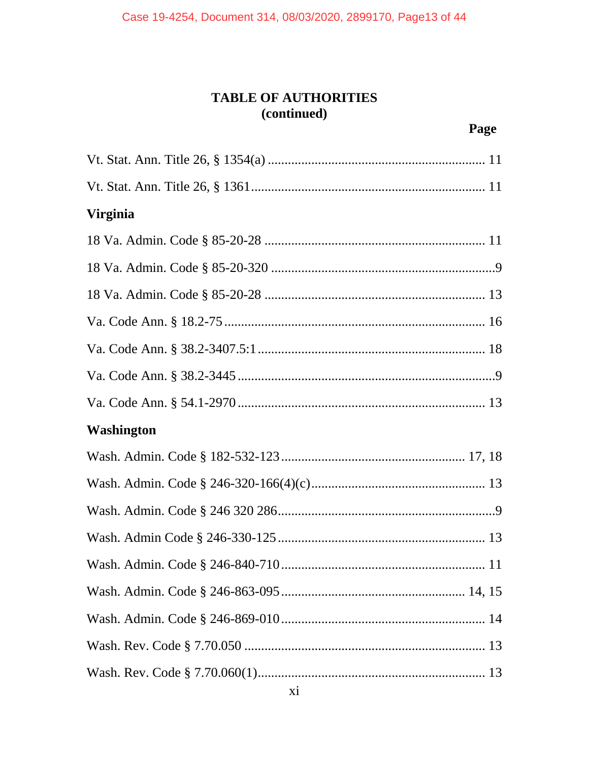| <b>Virginia</b>   |
|-------------------|
|                   |
|                   |
|                   |
|                   |
|                   |
|                   |
|                   |
|                   |
| <b>Washington</b> |
|                   |
|                   |
|                   |
|                   |
|                   |
|                   |
|                   |
|                   |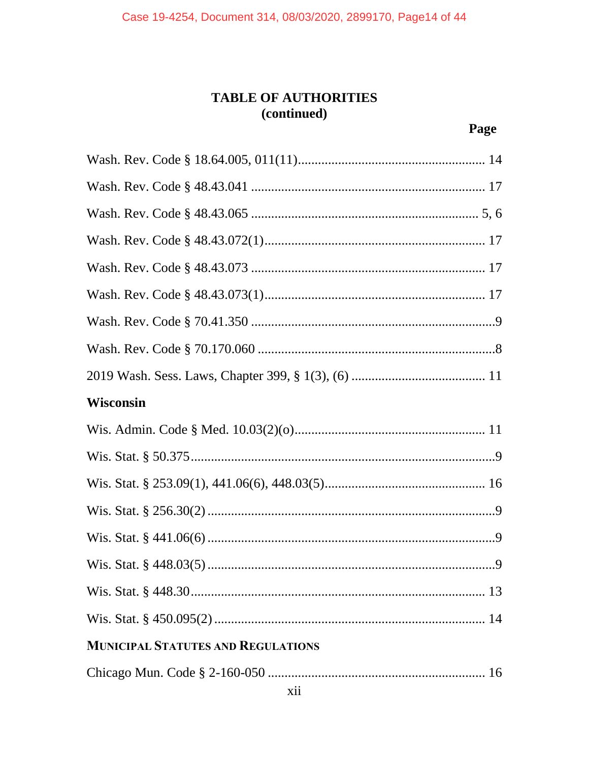| <b>Wisconsin</b>                          |
|-------------------------------------------|
|                                           |
|                                           |
|                                           |
|                                           |
|                                           |
|                                           |
|                                           |
|                                           |
| <b>MUNICIPAL STATUTES AND REGULATIONS</b> |
|                                           |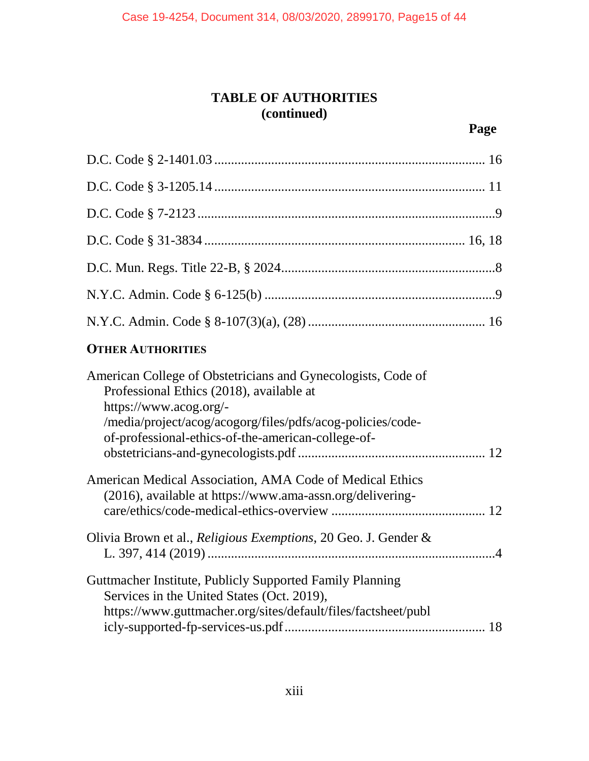| <b>OTHER AUTHORITIES</b>                                                                                                                                                                                                                               |
|--------------------------------------------------------------------------------------------------------------------------------------------------------------------------------------------------------------------------------------------------------|
| American College of Obstetricians and Gynecologists, Code of<br>Professional Ethics (2018), available at<br>https://www.acog.org/-<br>/media/project/acog/acogorg/files/pdfs/acog-policies/code-<br>of-professional-ethics-of-the-american-college-of- |
| American Medical Association, AMA Code of Medical Ethics<br>(2016), available at https://www.ama-assn.org/delivering-                                                                                                                                  |
| Olivia Brown et al., Religious Exemptions, 20 Geo. J. Gender &                                                                                                                                                                                         |
| Guttmacher Institute, Publicly Supported Family Planning<br>Services in the United States (Oct. 2019),<br>https://www.guttmacher.org/sites/default/files/factsheet/publ                                                                                |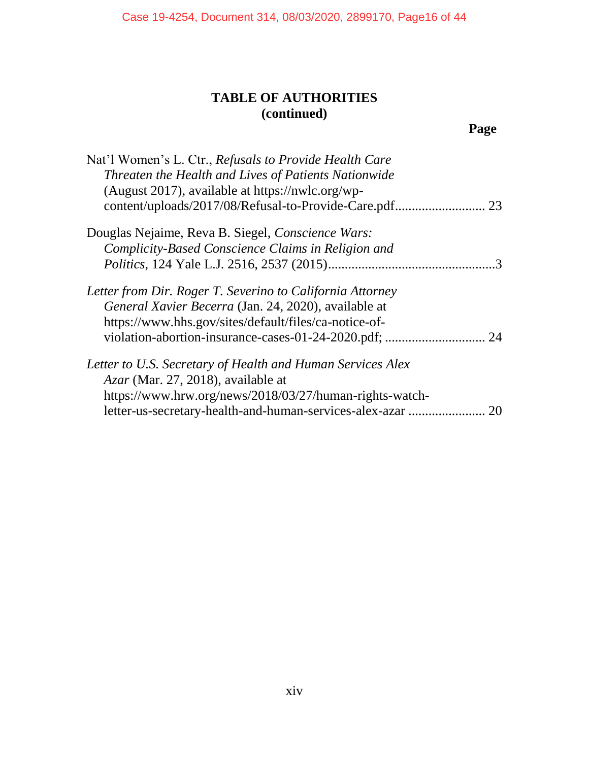# **Page**

| Nat'l Women's L. Ctr., Refusals to Provide Health Care     |    |
|------------------------------------------------------------|----|
| Threaten the Health and Lives of Patients Nationwide       |    |
| (August 2017), available at https://nwlc.org/wp-           |    |
| content/uploads/2017/08/Refusal-to-Provide-Care.pdf        | 23 |
| Douglas Nejaime, Reva B. Siegel, Conscience Wars:          |    |
| Complicity-Based Conscience Claims in Religion and         |    |
|                                                            | .3 |
| Letter from Dir. Roger T. Severino to California Attorney  |    |
| General Xavier Becerra (Jan. 24, 2020), available at       |    |
| https://www.hhs.gov/sites/default/files/ca-notice-of-      |    |
| violation-abortion-insurance-cases-01-24-2020.pdf;         | 24 |
| Letter to U.S. Secretary of Health and Human Services Alex |    |
| Azar (Mar. 27, 2018), available at                         |    |
| https://www.hrw.org/news/2018/03/27/human-rights-watch-    |    |
| letter-us-secretary-health-and-human-services-alex-azar    | 20 |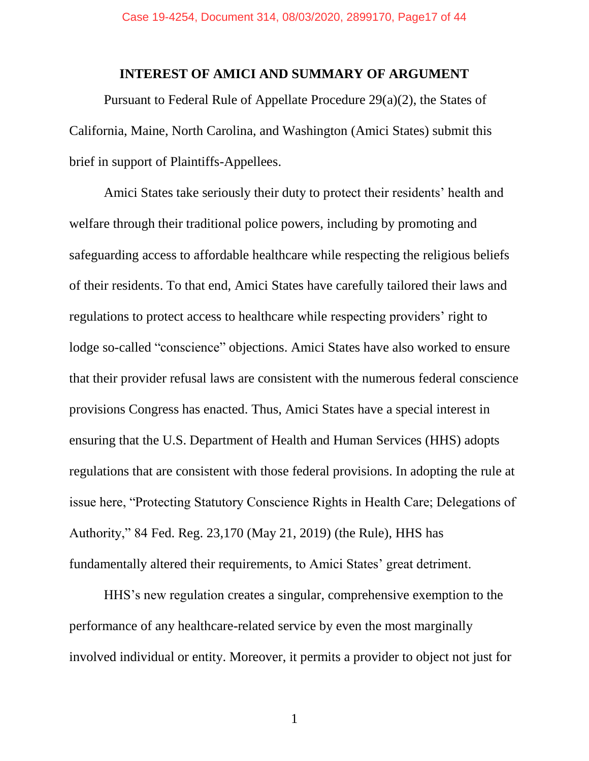#### **INTEREST OF AMICI AND SUMMARY OF ARGUMENT**

Pursuant to Federal Rule of Appellate Procedure 29(a)(2), the States of California, Maine, North Carolina, and Washington (Amici States) submit this brief in support of Plaintiffs-Appellees.

Amici States take seriously their duty to protect their residents' health and welfare through their traditional police powers, including by promoting and safeguarding access to affordable healthcare while respecting the religious beliefs of their residents. To that end, Amici States have carefully tailored their laws and regulations to protect access to healthcare while respecting providers' right to lodge so-called "conscience" objections. Amici States have also worked to ensure that their provider refusal laws are consistent with the numerous federal conscience provisions Congress has enacted. Thus, Amici States have a special interest in ensuring that the U.S. Department of Health and Human Services (HHS) adopts regulations that are consistent with those federal provisions. In adopting the rule at issue here, "Protecting Statutory Conscience Rights in Health Care; Delegations of Authority," 84 Fed. Reg. 23,170 (May 21, 2019) (the Rule), HHS has fundamentally altered their requirements, to Amici States' great detriment.

HHS's new regulation creates a singular, comprehensive exemption to the performance of any healthcare-related service by even the most marginally involved individual or entity. Moreover, it permits a provider to object not just for

1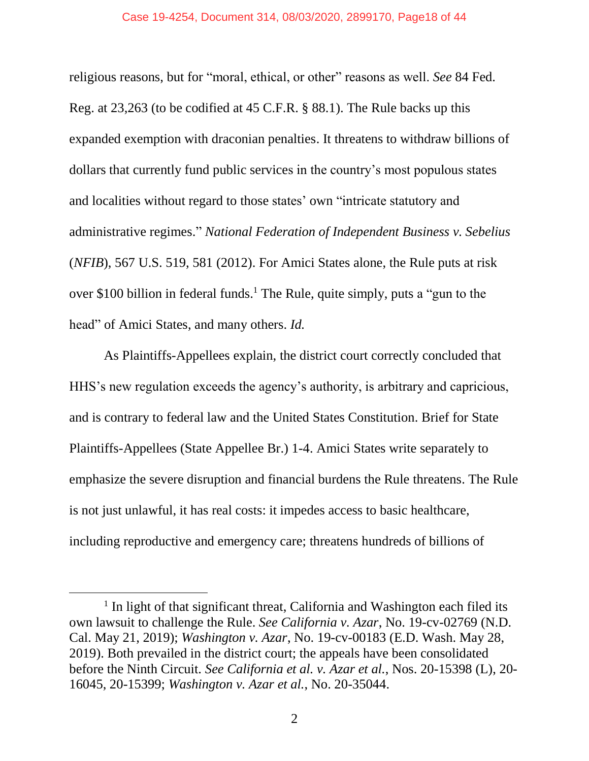#### Case 19-4254, Document 314, 08/03/2020, 2899170, Page18 of 44

religious reasons, but for "moral, ethical, or other" reasons as well. *See* 84 Fed. Reg. at 23,263 (to be codified at 45 C.F.R. § 88.1). The Rule backs up this expanded exemption with draconian penalties. It threatens to withdraw billions of dollars that currently fund public services in the country's most populous states and localities without regard to those states' own "intricate statutory and administrative regimes." *National Federation of Independent Business v. Sebelius* (*NFIB*), 567 U.S. 519, 581 (2012). For Amici States alone, the Rule puts at risk over \$100 billion in federal funds. <sup>1</sup> The Rule, quite simply, puts a "gun to the head" of Amici States, and many others. *Id.*

As Plaintiffs-Appellees explain, the district court correctly concluded that HHS's new regulation exceeds the agency's authority, is arbitrary and capricious, and is contrary to federal law and the United States Constitution. Brief for State Plaintiffs-Appellees (State Appellee Br.) 1-4. Amici States write separately to emphasize the severe disruption and financial burdens the Rule threatens. The Rule is not just unlawful, it has real costs: it impedes access to basic healthcare, including reproductive and emergency care; threatens hundreds of billions of

l

<sup>&</sup>lt;sup>1</sup> In light of that significant threat, California and Washington each filed its own lawsuit to challenge the Rule. *See California v. Azar*, No. 19-cv-02769 (N.D. Cal. May 21, 2019); *Washington v. Azar*, No. 19-cv-00183 (E.D. Wash. May 28, 2019). Both prevailed in the district court; the appeals have been consolidated before the Ninth Circuit. *See California et al. v. Azar et al.*, Nos. 20-15398 (L), 20- 16045, 20-15399; *Washington v. Azar et al.*, No. 20-35044.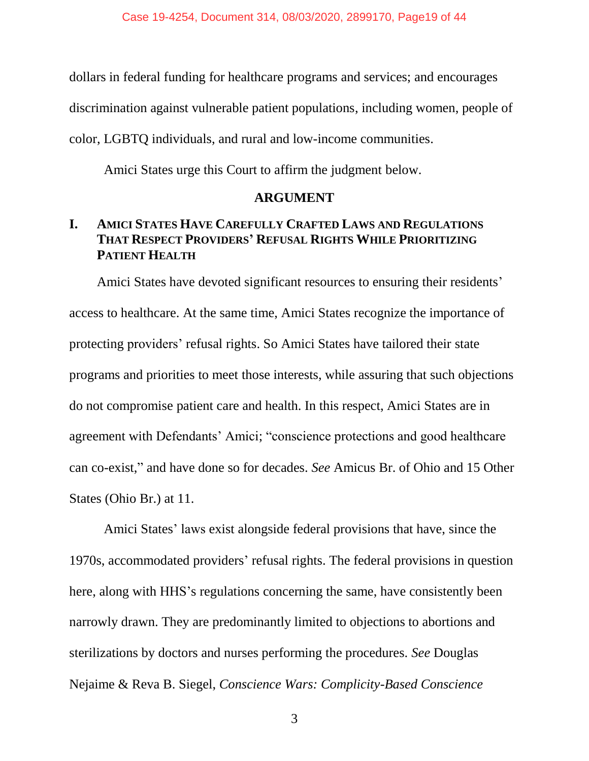dollars in federal funding for healthcare programs and services; and encourages discrimination against vulnerable patient populations, including women, people of color, LGBTQ individuals, and rural and low-income communities.

Amici States urge this Court to affirm the judgment below.

#### **ARGUMENT**

## **I. AMICI STATES HAVE CAREFULLY CRAFTED LAWS AND REGULATIONS THAT RESPECT PROVIDERS' REFUSAL RIGHTS WHILE PRIORITIZING PATIENT HEALTH**

Amici States have devoted significant resources to ensuring their residents' access to healthcare. At the same time, Amici States recognize the importance of protecting providers' refusal rights. So Amici States have tailored their state programs and priorities to meet those interests, while assuring that such objections do not compromise patient care and health. In this respect, Amici States are in agreement with Defendants' Amici; "conscience protections and good healthcare can co-exist," and have done so for decades. *See* Amicus Br. of Ohio and 15 Other States (Ohio Br.) at 11.

Amici States' laws exist alongside federal provisions that have, since the 1970s, accommodated providers' refusal rights. The federal provisions in question here, along with HHS's regulations concerning the same, have consistently been narrowly drawn. They are predominantly limited to objections to abortions and sterilizations by doctors and nurses performing the procedures. *See* Douglas Nejaime & Reva B. Siegel, *Conscience Wars: Complicity-Based Conscience* 

3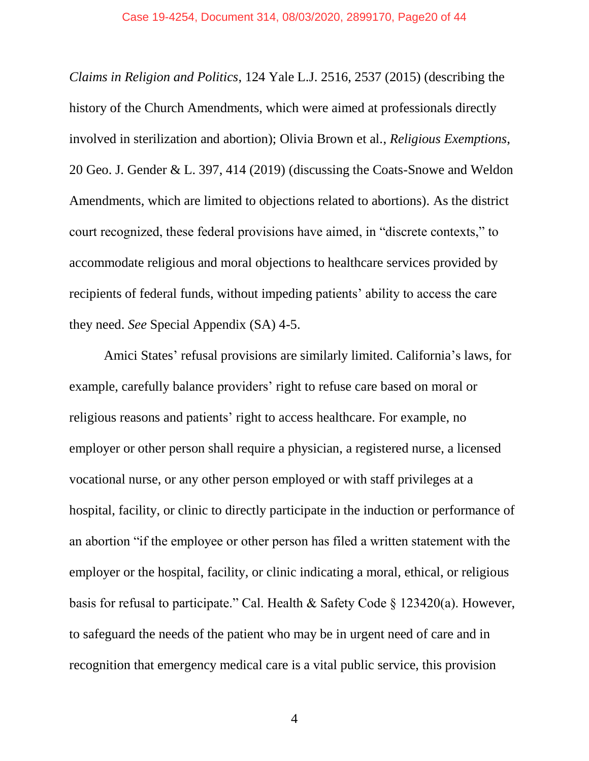*Claims in Religion and Politics*, 124 Yale L.J. 2516, 2537 (2015) (describing the history of the Church Amendments, which were aimed at professionals directly involved in sterilization and abortion); Olivia Brown et al., *Religious Exemptions*, 20 Geo. J. Gender & L. 397, 414 (2019) (discussing the Coats-Snowe and Weldon Amendments, which are limited to objections related to abortions). As the district court recognized, these federal provisions have aimed, in "discrete contexts," to accommodate religious and moral objections to healthcare services provided by recipients of federal funds, without impeding patients' ability to access the care they need. *See* Special Appendix (SA) 4-5.

Amici States' refusal provisions are similarly limited. California's laws, for example, carefully balance providers' right to refuse care based on moral or religious reasons and patients' right to access healthcare. For example, no employer or other person shall require a physician, a registered nurse, a licensed vocational nurse, or any other person employed or with staff privileges at a hospital, facility, or clinic to directly participate in the induction or performance of an abortion "if the employee or other person has filed a written statement with the employer or the hospital, facility, or clinic indicating a moral, ethical, or religious basis for refusal to participate." Cal. Health & Safety Code § 123420(a). However, to safeguard the needs of the patient who may be in urgent need of care and in recognition that emergency medical care is a vital public service, this provision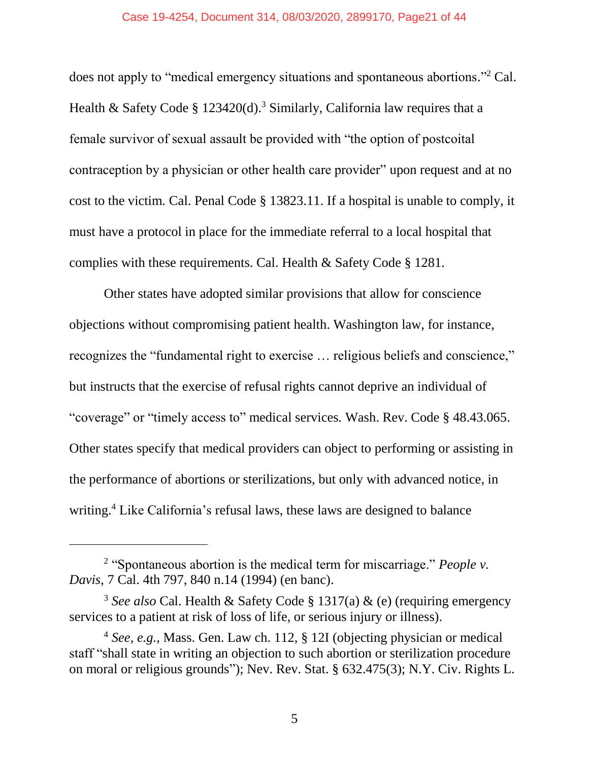#### Case 19-4254, Document 314, 08/03/2020, 2899170, Page21 of 44

does not apply to "medical emergency situations and spontaneous abortions."<sup>2</sup> Cal. Health & Safety Code § 123420(d).<sup>3</sup> Similarly, California law requires that a female survivor of sexual assault be provided with "the option of postcoital contraception by a physician or other health care provider" upon request and at no cost to the victim. Cal. Penal Code § 13823.11. If a hospital is unable to comply, it must have a protocol in place for the immediate referral to a local hospital that complies with these requirements. Cal. Health & Safety Code § 1281.

Other states have adopted similar provisions that allow for conscience objections without compromising patient health. Washington law, for instance, recognizes the "fundamental right to exercise … religious beliefs and conscience," but instructs that the exercise of refusal rights cannot deprive an individual of "coverage" or "timely access to" medical services*.* Wash. Rev. Code § 48.43.065. Other states specify that medical providers can object to performing or assisting in the performance of abortions or sterilizations, but only with advanced notice, in writing. <sup>4</sup> Like California's refusal laws, these laws are designed to balance

l

<sup>2</sup> "Spontaneous abortion is the medical term for miscarriage." *People v. Davis*, 7 Cal. 4th 797, 840 n.14 (1994) (en banc).

<sup>3</sup> *See also* Cal. Health & Safety Code § 1317(a) & (e) (requiring emergency services to a patient at risk of loss of life, or serious injury or illness).

<sup>4</sup> *See, e.g.*, Mass. Gen. Law ch. 112, § 12I (objecting physician or medical staff "shall state in writing an objection to such abortion or sterilization procedure on moral or religious grounds"); Nev. Rev. Stat. § 632.475(3); N.Y. Civ. Rights L.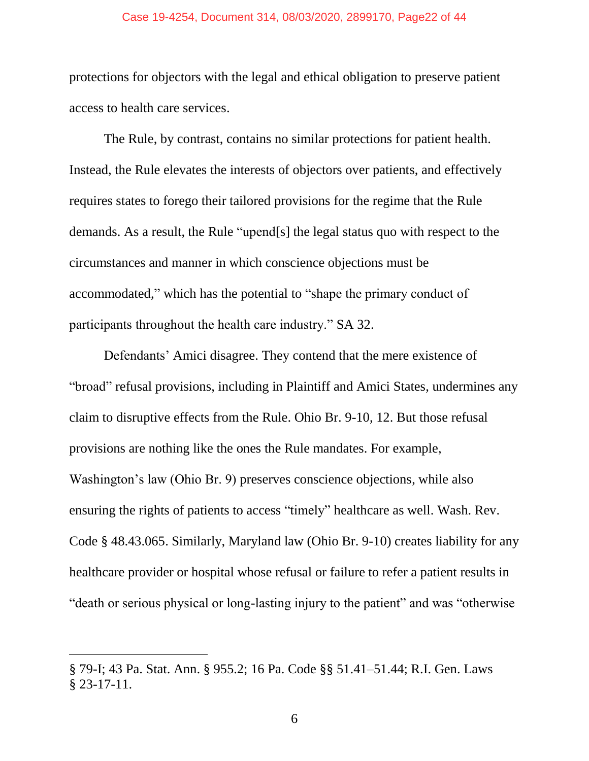#### Case 19-4254, Document 314, 08/03/2020, 2899170, Page22 of 44

protections for objectors with the legal and ethical obligation to preserve patient access to health care services.

The Rule, by contrast, contains no similar protections for patient health. Instead, the Rule elevates the interests of objectors over patients, and effectively requires states to forego their tailored provisions for the regime that the Rule demands. As a result, the Rule "upend[s] the legal status quo with respect to the circumstances and manner in which conscience objections must be accommodated," which has the potential to "shape the primary conduct of participants throughout the health care industry." SA 32.

Defendants' Amici disagree. They contend that the mere existence of "broad" refusal provisions, including in Plaintiff and Amici States, undermines any claim to disruptive effects from the Rule. Ohio Br. 9-10, 12. But those refusal provisions are nothing like the ones the Rule mandates. For example, Washington's law (Ohio Br. 9) preserves conscience objections, while also ensuring the rights of patients to access "timely" healthcare as well. Wash. Rev. Code § 48.43.065. Similarly, Maryland law (Ohio Br. 9-10) creates liability for any healthcare provider or hospital whose refusal or failure to refer a patient results in "death or serious physical or long-lasting injury to the patient" and was "otherwise

 $\overline{a}$ 

<sup>§</sup> 79-I; 43 Pa. Stat. Ann. § 955.2; 16 Pa. Code §§ 51.41–51.44; R.I. Gen. Laws § 23-17-11.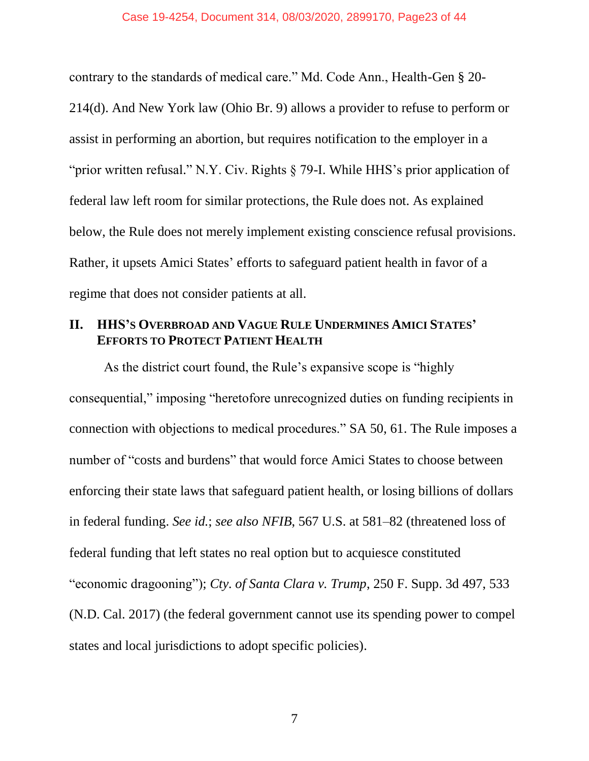#### Case 19-4254, Document 314, 08/03/2020, 2899170, Page23 of 44

contrary to the standards of medical care." Md. Code Ann., Health-Gen § 20- 214(d). And New York law (Ohio Br. 9) allows a provider to refuse to perform or assist in performing an abortion, but requires notification to the employer in a "prior written refusal." N.Y. Civ. Rights § 79-I. While HHS's prior application of federal law left room for similar protections, the Rule does not. As explained below, the Rule does not merely implement existing conscience refusal provisions. Rather, it upsets Amici States' efforts to safeguard patient health in favor of a regime that does not consider patients at all.

## **II. HHS'S OVERBROAD AND VAGUE RULE UNDERMINES AMICI STATES' EFFORTS TO PROTECT PATIENT HEALTH**

As the district court found, the Rule's expansive scope is "highly consequential," imposing "heretofore unrecognized duties on funding recipients in connection with objections to medical procedures." SA 50, 61. The Rule imposes a number of "costs and burdens" that would force Amici States to choose between enforcing their state laws that safeguard patient health, or losing billions of dollars in federal funding. *See id.*; *see also NFIB*, 567 U.S. at 581–82 (threatened loss of federal funding that left states no real option but to acquiesce constituted "economic dragooning"); *Cty. of Santa Clara v. Trump*, 250 F. Supp. 3d 497, 533 (N.D. Cal. 2017) (the federal government cannot use its spending power to compel states and local jurisdictions to adopt specific policies).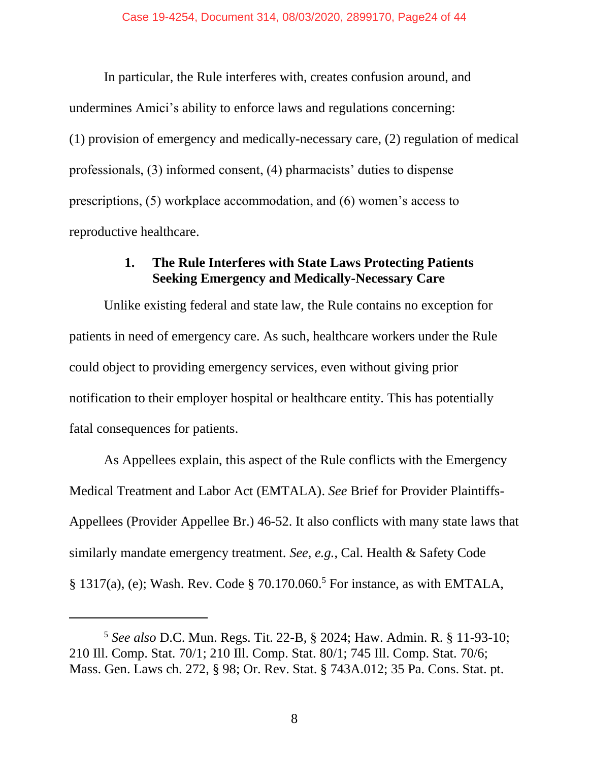In particular, the Rule interferes with, creates confusion around, and undermines Amici's ability to enforce laws and regulations concerning: (1) provision of emergency and medically-necessary care, (2) regulation of medical professionals, (3) informed consent, (4) pharmacists' duties to dispense prescriptions, (5) workplace accommodation, and (6) women's access to reproductive healthcare.

#### **1. The Rule Interferes with State Laws Protecting Patients Seeking Emergency and Medically-Necessary Care**

Unlike existing federal and state law, the Rule contains no exception for patients in need of emergency care. As such, healthcare workers under the Rule could object to providing emergency services, even without giving prior notification to their employer hospital or healthcare entity. This has potentially fatal consequences for patients.

As Appellees explain, this aspect of the Rule conflicts with the Emergency Medical Treatment and Labor Act (EMTALA). *See* Brief for Provider Plaintiffs-Appellees (Provider Appellee Br.) 46-52. It also conflicts with many state laws that similarly mandate emergency treatment. *See, e.g.*, Cal. Health & Safety Code  $§$  1317(a), (e); Wash. Rev. Code  $§$  70.170.060.<sup>5</sup> For instance, as with EMTALA,

 $\overline{a}$ 

<sup>5</sup> *See also* D.C. Mun. Regs. Tit. 22-B, § 2024; Haw. Admin. R. § 11-93-10; 210 Ill. Comp. Stat. 70/1; 210 Ill. Comp. Stat. 80/1; 745 Ill. Comp. Stat. 70/6; Mass. Gen. Laws ch. 272, § 98; Or. Rev. Stat. § 743A.012; 35 Pa. Cons. Stat. pt.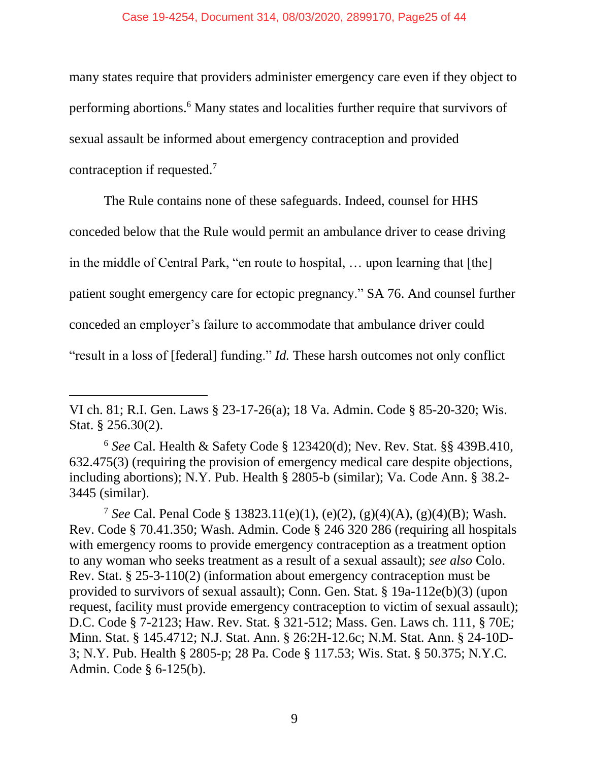#### Case 19-4254, Document 314, 08/03/2020, 2899170, Page25 of 44

many states require that providers administer emergency care even if they object to performing abortions.<sup>6</sup> Many states and localities further require that survivors of sexual assault be informed about emergency contraception and provided contraception if requested.<sup>7</sup>

The Rule contains none of these safeguards. Indeed, counsel for HHS conceded below that the Rule would permit an ambulance driver to cease driving in the middle of Central Park, "en route to hospital, … upon learning that [the] patient sought emergency care for [ectopic pregnancy.](https://1.next.westlaw.com/Link/Document/FullText?entityType=disease&entityId=Ibacf635b475411db9765f9243f53508a&originationContext=document&transitionType=DocumentItem&contextData=(sc.Default))" SA 76. And counsel further conceded an employer's failure to accommodate that ambulance driver could "result in a loss of [federal] funding." *Id.* These harsh outcomes not only conflict

 $\overline{a}$ 

<sup>6</sup> *See* Cal. Health & Safety Code § 123420(d); Nev. Rev. Stat. §§ 439B.410, 632.475(3) (requiring the provision of emergency medical care despite objections, including abortions); N.Y. Pub. Health § 2805-b (similar); Va. Code Ann. § 38.2- 3445 (similar).

<sup>7</sup> *See* Cal. Penal Code § 13823.11(e)(1), (e)(2), (g)(4)(A), (g)(4)(B); Wash. Rev. Code § 70.41.350; Wash. Admin. Code § 246 320 286 (requiring all hospitals with emergency rooms to provide emergency contraception as a treatment option to any woman who seeks treatment as a result of a sexual assault); *see also* Colo. Rev. Stat. § 25-3-110(2) (information about emergency contraception must be provided to survivors of sexual assault); Conn. Gen. Stat. § 19a-112e(b)(3) (upon request, facility must provide emergency contraception to victim of sexual assault); D.C. Code § 7-2123; Haw. Rev. Stat. § 321-512; Mass. Gen. Laws ch. 111, § 70E; Minn. Stat. § 145.4712; N.J. Stat. Ann. § 26:2H-12.6c; N.M. Stat. Ann. § 24-10D-3; N.Y. Pub. Health § 2805-p; 28 Pa. Code § 117.53; Wis. Stat. § 50.375; N.Y.C. Admin. Code § 6-125(b).

VI ch. 81; R.I. Gen. Laws § 23-17-26(a); 18 Va. Admin. Code § 85-20-320; Wis. Stat. § 256.30(2).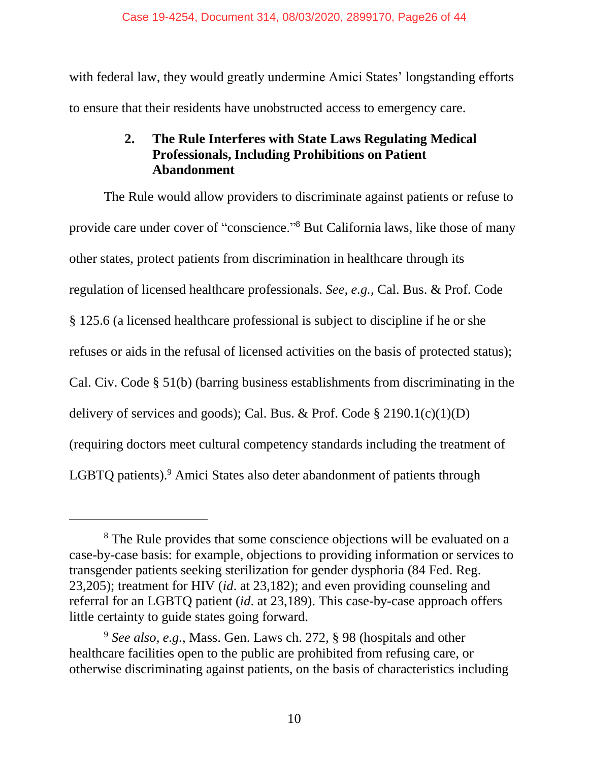with federal law, they would greatly undermine Amici States' longstanding efforts to ensure that their residents have unobstructed access to emergency care.

## **2. The Rule Interferes with State Laws Regulating Medical Professionals, Including Prohibitions on Patient Abandonment**

The Rule would allow providers to discriminate against patients or refuse to provide care under cover of "conscience."<sup>8</sup> But California laws, like those of many other states, protect patients from discrimination in healthcare through its regulation of licensed healthcare professionals. *See, e.g.*, Cal. Bus. & Prof. Code § 125.6 (a licensed healthcare professional is subject to discipline if he or she refuses or aids in the refusal of licensed activities on the basis of protected status); Cal. Civ. Code § 51(b) (barring business establishments from discriminating in the delivery of services and goods); Cal. Bus. & Prof. Code  $\S 2190.1(c)(1)(D)$ (requiring doctors meet cultural competency standards including the treatment of LGBTQ patients).<sup>9</sup> Amici States also deter abandonment of patients through

l

<sup>&</sup>lt;sup>8</sup> The Rule provides that some conscience objections will be evaluated on a case-by-case basis: for example, objections to providing information or services to transgender patients seeking sterilization for gender dysphoria (84 Fed. Reg. 23,205); treatment for HIV (*id*. at 23,182); and even providing counseling and referral for an LGBTQ patient (*id*. at 23,189). This case-by-case approach offers little certainty to guide states going forward.

<sup>9</sup> *See also, e.g.*, Mass. Gen. Laws ch. 272, § 98 (hospitals and other healthcare facilities open to the public are prohibited from refusing care, or otherwise discriminating against patients, on the basis of characteristics including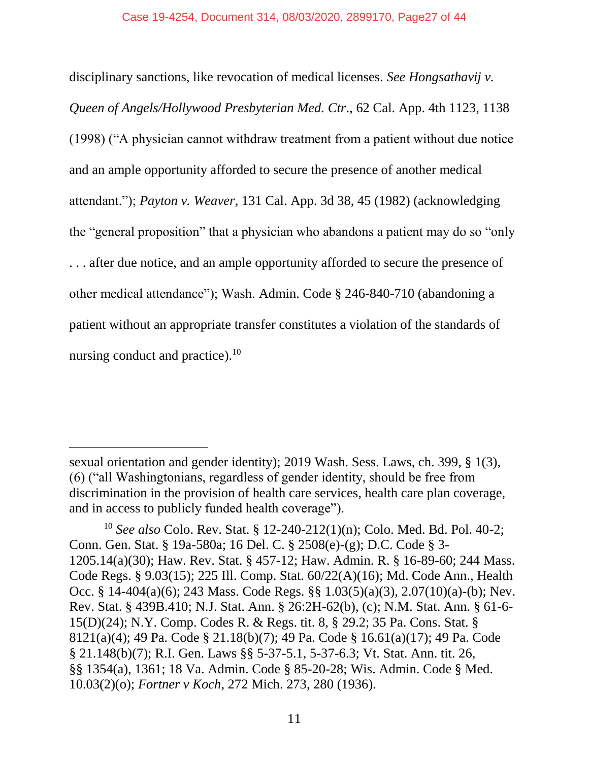#### Case 19-4254, Document 314, 08/03/2020, 2899170, Page27 of 44

disciplinary sanctions, like revocation of medical licenses. *See Hongsathavij v. Queen of Angels/Hollywood Presbyterian Med. Ctr*., 62 Cal. App. 4th 1123, 1138 (1998) ("A physician cannot withdraw treatment from a patient without due notice and an ample opportunity afforded to secure the presence of another medical attendant."); *Payton v. Weaver*, 131 Cal. App. 3d 38, 45 (1982) (acknowledging the "general proposition" that a physician who abandons a patient may do so "only . . . after due notice, and an ample opportunity afforded to secure the presence of other medical attendance"); Wash. Admin. Code § 246-840-710 (abandoning a patient without an appropriate transfer constitutes a violation of the standards of nursing conduct and practice). $10$ 

 $\overline{a}$ 

sexual orientation and gender identity); 2019 Wash. Sess. Laws, ch. 399, § 1(3), (6) ("all Washingtonians, regardless of gender identity, should be free from discrimination in the provision of health care services, health care plan coverage, and in access to publicly funded health coverage").

<sup>10</sup> *See also* Colo. Rev. Stat. § 12-240-212(1)(n); Colo. Med. Bd. Pol. 40-2; Conn. Gen. Stat. § 19a-580a; 16 Del. C. § 2508(e)-(g); D.C. Code § 3- 1205.14(a)(30); Haw. Rev. Stat. § 457-12; Haw. Admin. R. § 16-89-60; 244 Mass. Code Regs. § 9.03(15); 225 Ill. Comp. Stat. 60/22(A)(16); Md. Code Ann., Health Occ. § 14-404(a)(6); 243 Mass. Code Regs. §§ 1.03(5)(a)(3), 2.07(10)(a)-(b); Nev. Rev. Stat. § 439B.410; N.J. Stat. Ann. § 26:2H-62(b), (c); N.M. Stat. Ann. § 61-6- 15(D)(24); N.Y. Comp. Codes R. & Regs. tit. 8, § 29.2; 35 Pa. Cons. Stat. § 8121(a)(4); 49 Pa. Code § 21.18(b)(7); 49 Pa. Code § 16.61(a)(17); 49 Pa. Code § 21.148(b)(7); R.I. Gen. Laws §§ 5-37-5.1, 5-37-6.3; Vt. Stat. Ann. tit. 26, §§ 1354(a), 1361; 18 Va. Admin. Code § 85-20-28; Wis. Admin. Code § Med. 10.03(2)(o); *Fortner v Koch*, 272 Mich. 273, 280 (1936).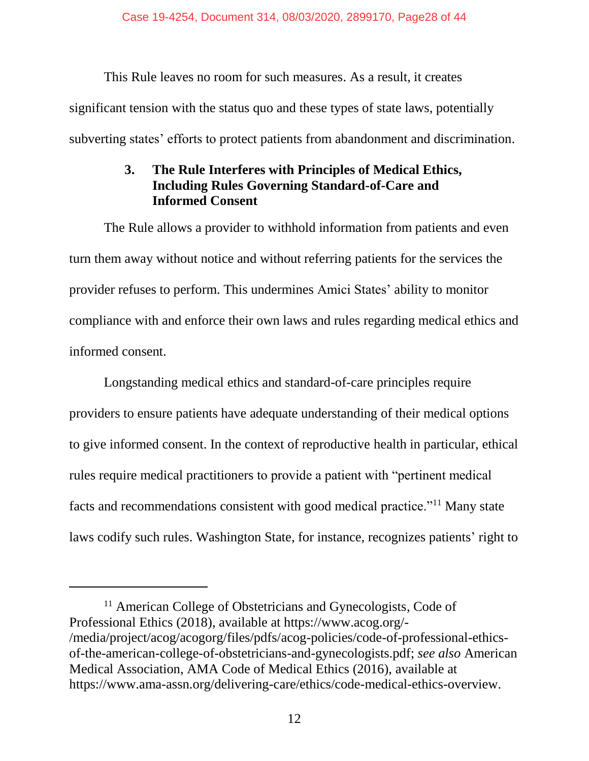This Rule leaves no room for such measures. As a result, it creates significant tension with the status quo and these types of state laws, potentially subverting states' efforts to protect patients from abandonment and discrimination.

## **3. The Rule Interferes with Principles of Medical Ethics, Including Rules Governing Standard-of-Care and Informed Consent**

The Rule allows a provider to withhold information from patients and even turn them away without notice and without referring patients for the services the provider refuses to perform. This undermines Amici States' ability to monitor compliance with and enforce their own laws and rules regarding medical ethics and informed consent.

Longstanding medical ethics and standard-of-care principles require providers to ensure patients have adequate understanding of their medical options to give informed consent. In the context of reproductive health in particular, ethical rules require medical practitioners to provide a patient with "pertinent medical facts and recommendations consistent with good medical practice."<sup>11</sup> Many state laws codify such rules. Washington State, for instance, recognizes patients' right to

l

<sup>&</sup>lt;sup>11</sup> American College of Obstetricians and Gynecologists, Code of Professional Ethics (2018), available at https://www.acog.org/- /media/project/acog/acogorg/files/pdfs/acog-policies/code-of-professional-ethicsof-the-american-college-of-obstetricians-and-gynecologists.pdf; *see also* American Medical Association, AMA Code of Medical Ethics (2016), available at https://www.ama-assn.org/delivering-care/ethics/code-medical-ethics-overview.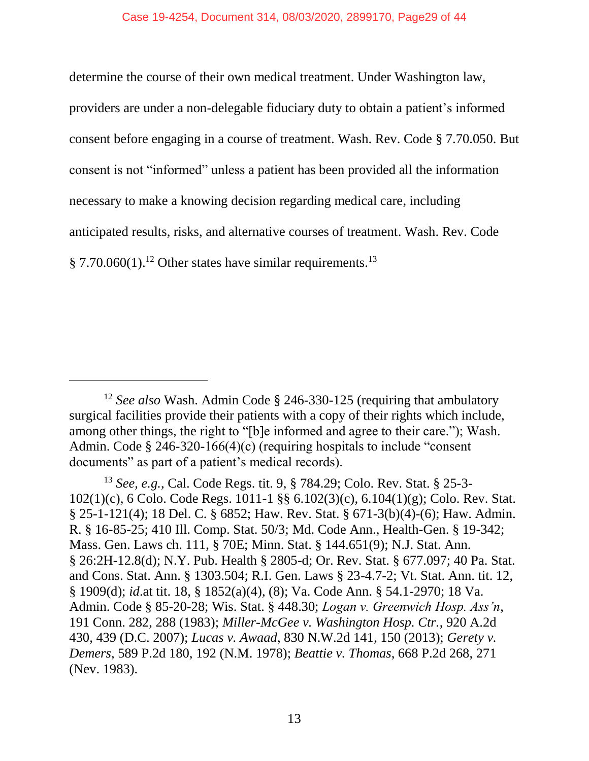determine the course of their own medical treatment. Under Washington law,

providers are under a non-delegable fiduciary duty to obtain a patient's informed consent before engaging in a course of treatment. Wash. Rev. Code § 7.70.050. But consent is not "informed" unless a patient has been provided all the information necessary to make a knowing decision regarding medical care, including anticipated results, risks, and alternative courses of treatment. Wash. Rev. Code  $§ 7.70.060(1).<sup>12</sup> Other states have similar requirements.<sup>13</sup>$ 

 $\overline{a}$ 

<sup>12</sup> *See also* Wash. Admin Code § 246-330-125 (requiring that ambulatory surgical facilities provide their patients with a copy of their rights which include, among other things, the right to "[b]e informed and agree to their care."); Wash. Admin. Code § 246-320-166(4)(c) (requiring hospitals to include "consent documents" as part of a patient's medical records).

<sup>13</sup> *See, e.g.*, Cal. Code Regs. tit. 9, § 784.29; Colo. Rev. Stat. § 25-3- 102(1)(c), 6 Colo. Code Regs. 1011-1 §§ 6.102(3)(c), 6.104(1)(g); Colo. Rev. Stat. § 25-1-121(4); 18 Del. C. § 6852; Haw. Rev. Stat. § 671-3(b)(4)-(6); Haw. Admin. R. § 16-85-25; 410 Ill. Comp. Stat. 50/3; Md. Code Ann., Health-Gen. § 19-342; Mass. Gen. Laws ch. 111, § 70E; Minn. Stat. § 144.651(9); N.J. Stat. Ann. § 26:2H-12.8(d); N.Y. Pub. Health § 2805-d; Or. Rev. Stat. § 677.097; 40 Pa. Stat. and Cons. Stat. Ann. § 1303.504; R.I. Gen. Laws § 23-4.7-2; Vt. Stat. Ann. tit. 12, § 1909(d); *id*.at tit. 18, § 1852(a)(4), (8); Va. Code Ann. § 54.1-2970; 18 Va. Admin. Code § 85-20-28; Wis. Stat. § 448.30; *Logan v. Greenwich Hosp. Ass'n*, 191 Conn. 282, 288 (1983); *Miller-McGee v. Washington Hosp. Ctr.*, 920 A.2d 430, 439 (D.C. 2007); *Lucas v. Awaad*, 830 N.W.2d 141, 150 (2013); *Gerety v. Demers*, 589 P.2d 180, 192 (N.M. 1978); *Beattie v. Thomas*, 668 P.2d 268, 271 (Nev. 1983).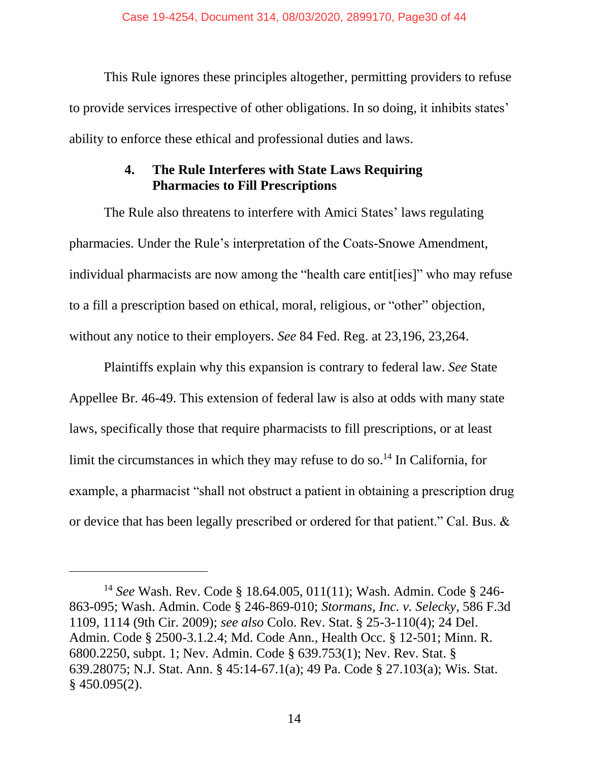This Rule ignores these principles altogether, permitting providers to refuse to provide services irrespective of other obligations. In so doing, it inhibits states' ability to enforce these ethical and professional duties and laws.

## **4. The Rule Interferes with State Laws Requiring Pharmacies to Fill Prescriptions**

The Rule also threatens to interfere with Amici States' laws regulating pharmacies. Under the Rule's interpretation of the Coats-Snowe Amendment, individual pharmacists are now among the "health care entit[ies]" who may refuse to a fill a prescription based on ethical, moral, religious, or "other" objection, without any notice to their employers. *See* 84 Fed. Reg. at 23,196, 23,264.

Plaintiffs explain why this expansion is contrary to federal law. *See* State Appellee Br. 46-49. This extension of federal law is also at odds with many state laws, specifically those that require pharmacists to fill prescriptions, or at least limit the circumstances in which they may refuse to do so.<sup>14</sup> In California, for example, a pharmacist "shall not obstruct a patient in obtaining a prescription drug or device that has been legally prescribed or ordered for that patient." Cal. Bus. &

l

<sup>14</sup> *See* Wash. Rev. Code § 18.64.005, 011(11); Wash. Admin. Code § 246- 863-095; Wash. Admin. Code § 246-869-010; *Stormans, Inc. v. Selecky*, 586 F.3d 1109, 1114 (9th Cir. 2009); *see also* Colo. Rev. Stat. § 25-3-110(4); 24 Del. Admin. Code § 2500-3.1.2.4; Md. Code Ann., Health Occ. § 12-501; Minn. R. 6800.2250, subpt. 1; Nev. Admin. Code § 639.753(1); Nev. Rev. Stat. § 639.28075; N.J. Stat. Ann. § 45:14-67.1(a); 49 Pa. Code § 27.103(a); Wis. Stat.  $§$  450.095(2).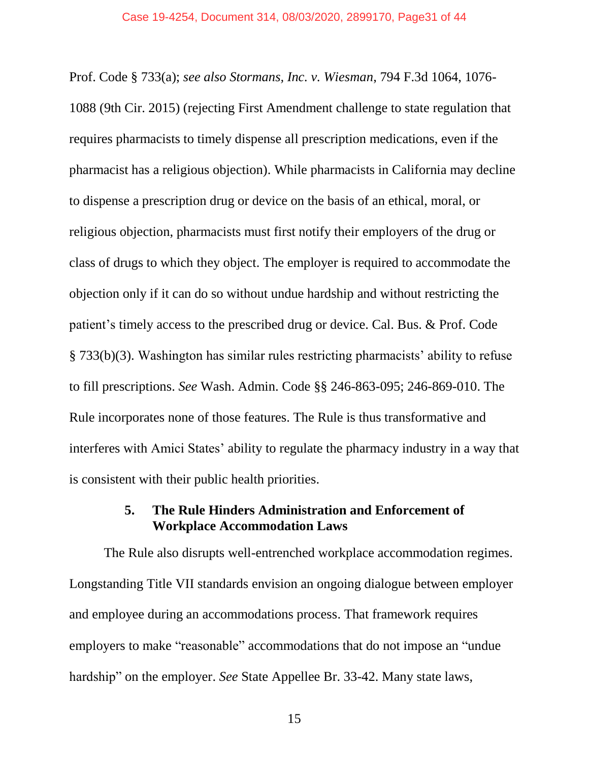Prof. Code § 733(a); *see also Stormans, Inc. v. Wiesman*, 794 F.3d 1064, 1076- 1088 (9th Cir. 2015) (rejecting First Amendment challenge to state regulation that requires pharmacists to timely dispense all prescription medications, even if the pharmacist has a religious objection). While pharmacists in California may decline to dispense a prescription drug or device on the basis of an ethical, moral, or religious objection, pharmacists must first notify their employers of the drug or class of drugs to which they object. The employer is required to accommodate the objection only if it can do so without undue hardship and without restricting the patient's timely access to the prescribed drug or device. Cal. Bus. & Prof. Code § 733(b)(3). Washington has similar rules restricting pharmacists' ability to refuse to fill prescriptions. *See* Wash. Admin. Code §§ 246-863-095; 246-869-010. The Rule incorporates none of those features. The Rule is thus transformative and interferes with Amici States' ability to regulate the pharmacy industry in a way that is consistent with their public health priorities.

## **5. The Rule Hinders Administration and Enforcement of Workplace Accommodation Laws**

The Rule also disrupts well-entrenched workplace accommodation regimes. Longstanding Title VII standards envision an ongoing dialogue between employer and employee during an accommodations process. That framework requires employers to make "reasonable" accommodations that do not impose an "undue hardship" on the employer. *See* State Appellee Br. 33-42. Many state laws,

15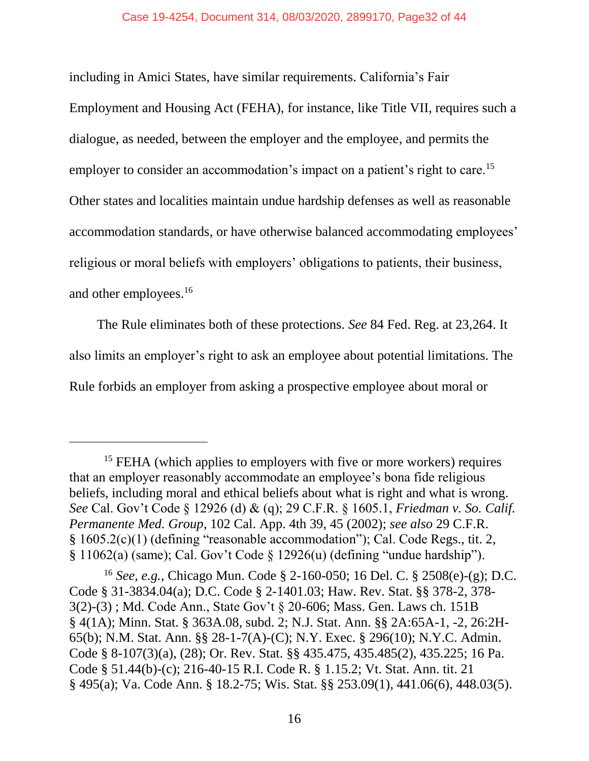#### Case 19-4254, Document 314, 08/03/2020, 2899170, Page32 of 44

including in Amici States, have similar requirements. California's Fair Employment and Housing Act (FEHA), for instance, like Title VII, requires such a dialogue, as needed, between the employer and the employee, and permits the employer to consider an accommodation's impact on a patient's right to care.<sup>15</sup> Other states and localities maintain undue hardship defenses as well as reasonable accommodation standards, or have otherwise balanced accommodating employees' religious or moral beliefs with employers' obligations to patients, their business, and other employees. 16

The Rule eliminates both of these protections. *See* 84 Fed. Reg. at 23,264. It also limits an employer's right to ask an employee about potential limitations. The Rule forbids an employer from asking a prospective employee about moral or

 $\overline{a}$ 

<sup>16</sup> *See, e.g.*, Chicago Mun. Code § 2-160-050; 16 Del. C. § 2508(e)-(g); D.C. Code § 31-3834.04(a); D.C. Code § 2-1401.03; Haw. Rev. Stat. §§ 378-2, 378- 3(2)-(3) ; Md. Code Ann., State Gov't § 20-606; Mass. Gen. Laws ch. 151B § 4(1A); Minn. Stat. § 363A.08, subd. 2; N.J. Stat. Ann. §§ 2A:65A-1, -2, 26:2H-65(b); N.M. Stat. Ann. §§ 28-1-7(A)-(C); N.Y. Exec. § 296(10); N.Y.C. Admin. Code § 8-107(3)(a), (28); Or. Rev. Stat. §§ 435.475, 435.485(2), 435.225; 16 Pa. Code § 51.44(b)-(c); 216-40-15 R.I. Code R. § 1.15.2; Vt. Stat. Ann. tit. 21 § 495(a); Va. Code Ann. § 18.2-75; Wis. Stat. §§ 253.09(1), 441.06(6), 448.03(5).

<sup>&</sup>lt;sup>15</sup> FEHA (which applies to employers with five or more workers) requires that an employer reasonably accommodate an employee's bona fide religious beliefs, including moral and ethical beliefs about what is right and what is wrong. *See* Cal. Gov't Code § 12926 (d) & (q); 29 C.F.R. § 1605.1, *Friedman v. So. Calif. Permanente Med. Group*, 102 Cal. App. 4th 39, 45 (2002); *see also* 29 C.F.R. § 1605.2(c)(1) (defining "reasonable accommodation"); Cal. Code Regs., tit. 2, § 11062(a) (same); Cal. Gov't Code § 12926(u) (defining "undue hardship").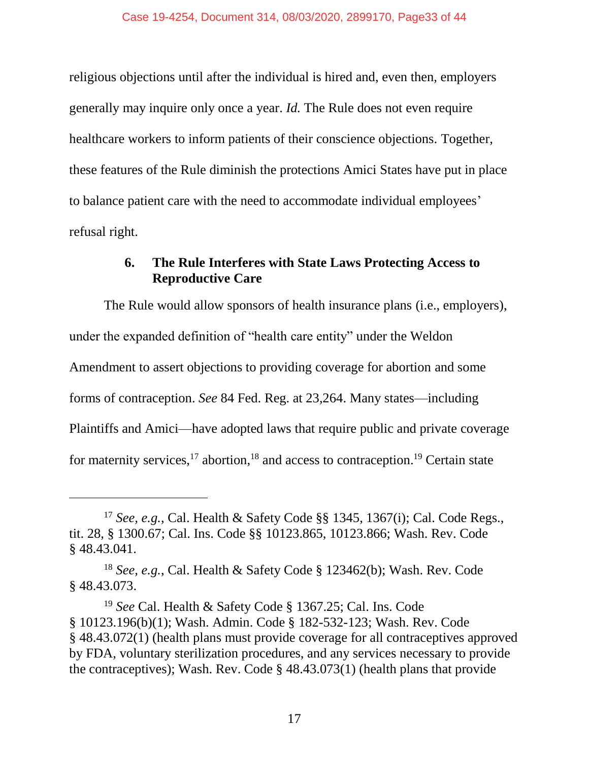religious objections until after the individual is hired and, even then, employers generally may inquire only once a year. *Id.* The Rule does not even require healthcare workers to inform patients of their conscience objections. Together, these features of the Rule diminish the protections Amici States have put in place to balance patient care with the need to accommodate individual employees' refusal right.

## **6. The Rule Interferes with State Laws Protecting Access to Reproductive Care**

The Rule would allow sponsors of health insurance plans (i.e., employers), under the expanded definition of "health care entity" under the Weldon Amendment to assert objections to providing coverage for abortion and some forms of contraception. *See* 84 Fed. Reg. at 23,264. Many states—including Plaintiffs and Amici—have adopted laws that require public and private coverage for maternity services,  $17$  abortion,  $18$  and access to contraception.  $19$  Certain state

l

<sup>17</sup> *See, e.g.*, Cal. Health & Safety Code §§ 1345, 1367(i); Cal. Code Regs., tit. 28, § 1300.67; Cal. Ins. Code §§ 10123.865, 10123.866; Wash. Rev. Code § 48.43.041.

<sup>18</sup> *See, e.g.*, Cal. Health & Safety Code § 123462(b); Wash. Rev. Code § 48.43.073.

<sup>19</sup> *See* Cal. Health & Safety Code § 1367.25; Cal. Ins. Code § 10123.196(b)(1); Wash. Admin. Code § 182-532-123; Wash. Rev. Code § 48.43.072(1) (health plans must provide coverage for all contraceptives approved by FDA, voluntary sterilization procedures, and any services necessary to provide the contraceptives); Wash. Rev. Code § 48.43.073(1) (health plans that provide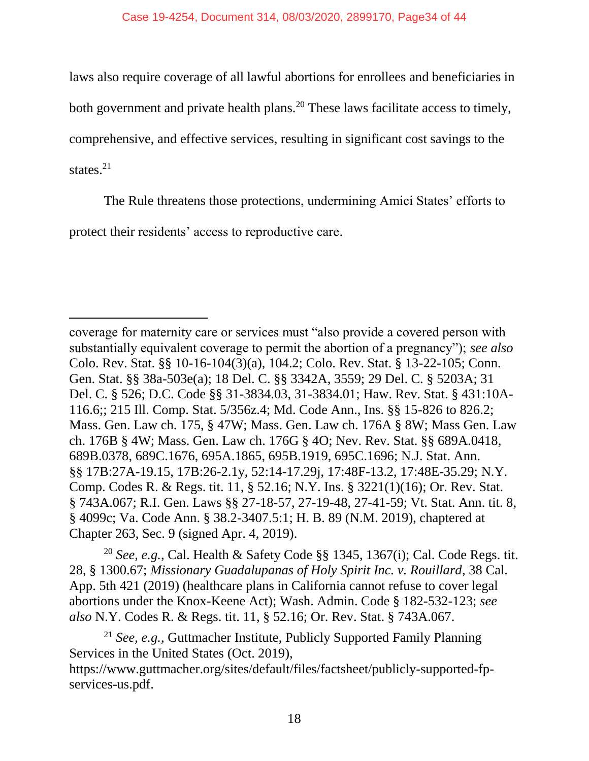laws also require coverage of all lawful abortions for enrollees and beneficiaries in both government and private health plans.<sup>20</sup> These laws facilitate access to timely, comprehensive, and effective services, resulting in significant cost savings to the states. $^{21}$ 

The Rule threatens those protections, undermining Amici States' efforts to protect their residents' access to reproductive care.

 $\overline{a}$ coverage for maternity care or services must "also provide a covered person with substantially equivalent coverage to permit the abortion of a pregnancy"); *see also* Colo. Rev. Stat. §§ 10-16-104(3)(a), 104.2; Colo. Rev. Stat. § 13-22-105; Conn. Gen. Stat. §§ 38a-503e(a); 18 Del. C. §§ 3342A, 3559; 29 Del. C. § 5203A; 31 Del. C. § 526; D.C. Code §§ 31-3834.03, 31-3834.01; Haw. Rev. Stat. § 431:10A-116.6;; 215 Ill. Comp. Stat. 5/356z.4; Md. Code Ann., Ins. §§ 15-826 to 826.2; Mass. Gen. Law ch. 175, § 47W; Mass. Gen. Law ch. 176A § 8W; Mass Gen. Law ch. 176B § 4W; Mass. Gen. Law ch. 176G § 4O; Nev. Rev. Stat. §§ 689A.0418, 689B.0378, 689C.1676, 695A.1865, 695B.1919, 695C.1696; N.J. Stat. Ann. §§ 17B:27A-19.15, 17B:26-2.1y, 52:14-17.29j, 17:48F-13.2, 17:48E-35.29; N.Y. Comp. Codes R. & Regs. tit. 11, § 52.16; N.Y. Ins. § 3221(1)(16); Or. Rev. Stat. § 743A.067; R.I. Gen. Laws §§ 27-18-57, 27-19-48, 27-41-59; Vt. Stat. Ann. tit. 8, § 4099c; Va. Code Ann. § 38.2-3407.5:1; H. B. 89 (N.M. 2019), chaptered at Chapter 263, Sec. 9 (signed Apr. 4, 2019).

<sup>20</sup> *See, e.g.*, Cal. Health & Safety Code §§ 1345, 1367(i); Cal. Code Regs. tit. 28, § 1300.67; *Missionary Guadalupanas of Holy Spirit Inc. v. Rouillard*, 38 Cal. App. 5th 421 (2019) (healthcare plans in California cannot refuse to cover legal abortions under the Knox-Keene Act); Wash. Admin. Code § 182-532-123; *see also* N.Y. Codes R. & Regs. tit. 11, § 52.16; Or. Rev. Stat. § 743A.067.

<sup>21</sup> *See, e.g.*, Guttmacher Institute, Publicly Supported Family Planning Services in the United States (Oct. 2019), https://www.guttmacher.org/sites/default/files/factsheet/publicly-supported-fpservices-us.pdf.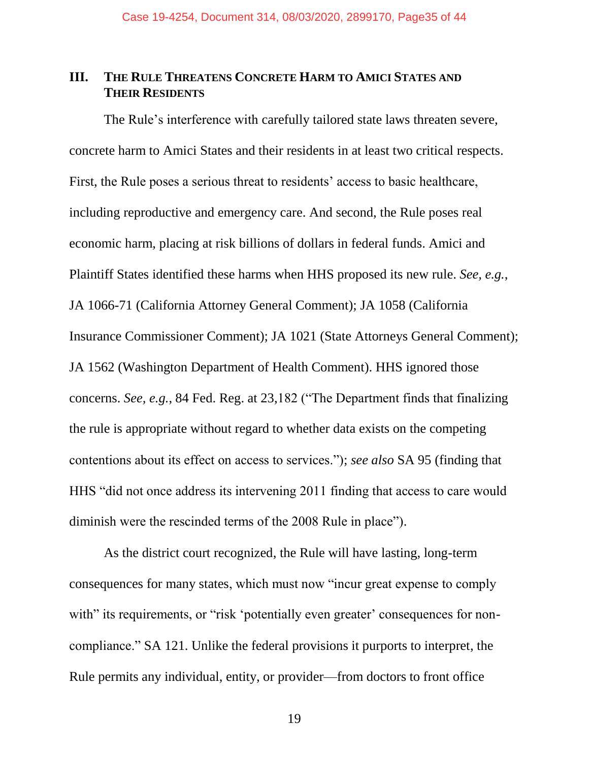## **III. THE RULE THREATENS CONCRETE HARM TO AMICI STATES AND THEIR RESIDENTS**

The Rule's interference with carefully tailored state laws threaten severe, concrete harm to Amici States and their residents in at least two critical respects. First, the Rule poses a serious threat to residents' access to basic healthcare, including reproductive and emergency care. And second, the Rule poses real economic harm, placing at risk billions of dollars in federal funds. Amici and Plaintiff States identified these harms when HHS proposed its new rule. *See, e.g.*, JA 1066-71 (California Attorney General Comment); JA 1058 (California Insurance Commissioner Comment); JA 1021 (State Attorneys General Comment); JA 1562 (Washington Department of Health Comment). HHS ignored those concerns. *See, e.g.*, 84 Fed. Reg. at 23,182 ("The Department finds that finalizing the rule is appropriate without regard to whether data exists on the competing contentions about its effect on access to services."); *see also* SA 95 (finding that HHS "did not once address its intervening 2011 finding that access to care would diminish were the rescinded terms of the 2008 Rule in place").

As the district court recognized, the Rule will have lasting, long-term consequences for many states, which must now "incur great expense to comply with" its requirements, or "risk 'potentially even greater' consequences for noncompliance." SA 121. Unlike the federal provisions it purports to interpret, the Rule permits any individual, entity, or provider—from doctors to front office

19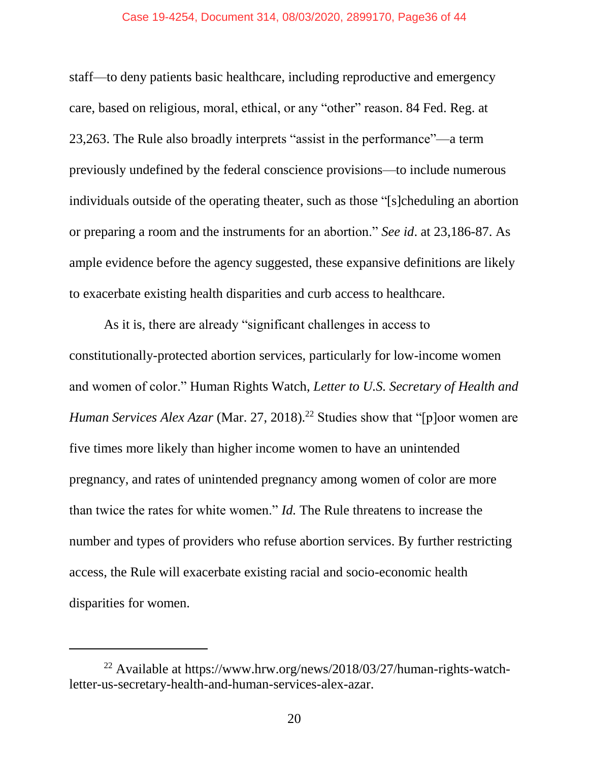#### Case 19-4254, Document 314, 08/03/2020, 2899170, Page36 of 44

staff—to deny patients basic healthcare, including reproductive and emergency care, based on religious, moral, ethical, or any "other" reason. 84 Fed. Reg. at 23,263. The Rule also broadly interprets "assist in the performance"—a term previously undefined by the federal conscience provisions—to include numerous individuals outside of the operating theater, such as those "[s]cheduling an abortion or preparing a room and the instruments for an abortion." *See id*. at 23,186-87. As ample evidence before the agency suggested, these expansive definitions are likely to exacerbate existing health disparities and curb access to healthcare.

As it is, there are already "significant challenges in access to constitutionally-protected abortion services, particularly for low-income women and women of color." Human Rights Watch, *Letter to U.S. Secretary of Health and Human Services Alex Azar* (Mar. 27, 2018).<sup>22</sup> Studies show that "[p]oor women are five times more likely than higher income women to have an unintended pregnancy, and rates of unintended pregnancy among women of color are more than twice the rates for white women." *Id.* The Rule threatens to increase the number and types of providers who refuse abortion services. By further restricting access, the Rule will exacerbate existing racial and socio-economic health disparities for women.

 $\overline{a}$ 

<sup>22</sup> Available at https://www.hrw.org/news/2018/03/27/human-rights-watchletter-us-secretary-health-and-human-services-alex-azar.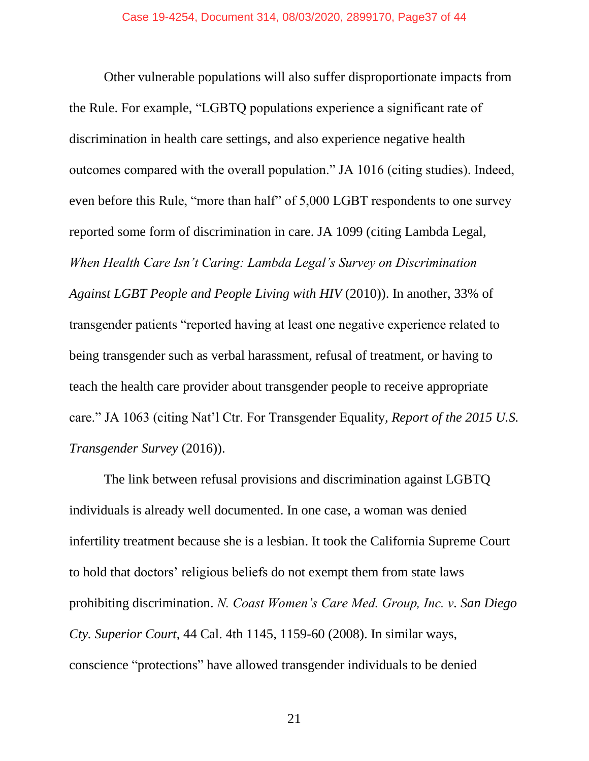Other vulnerable populations will also suffer disproportionate impacts from the Rule. For example, "LGBTQ populations experience a significant rate of discrimination in health care settings, and also experience negative health outcomes compared with the overall population." JA 1016 (citing studies). Indeed, even before this Rule, "more than half" of 5,000 LGBT respondents to one survey reported some form of discrimination in care. JA 1099 (citing Lambda Legal, *When Health Care Isn't Caring: Lambda Legal's Survey on Discrimination Against LGBT People and People Living with HIV* (2010)). In another, 33% of transgender patients "reported having at least one negative experience related to being transgender such as verbal harassment, refusal of treatment, or having to teach the health care provider about transgender people to receive appropriate care." JA 1063 (citing Nat'l Ctr. For Transgender Equality*, Report of the 2015 U.S. Transgender Survey* (2016)).

The link between refusal provisions and discrimination against LGBTQ individuals is already well documented. In one case, a woman was denied infertility treatment because she is a lesbian. It took the California Supreme Court to hold that doctors' religious beliefs do not exempt them from state laws prohibiting discrimination. *N. Coast Women's Care Med. Group, Inc. v. San Diego Cty. Superior Court*, 44 Cal. 4th 1145, 1159-60 (2008). In similar ways, conscience "protections" have allowed transgender individuals to be denied

21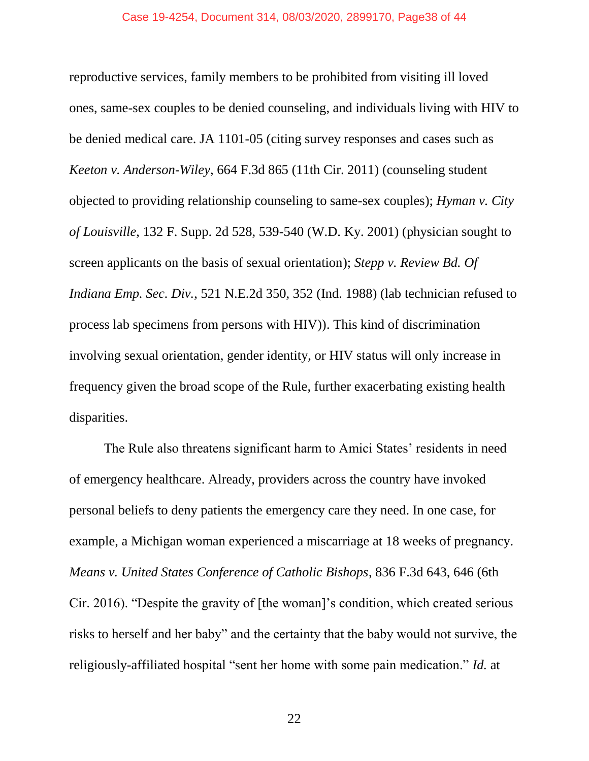reproductive services, family members to be prohibited from visiting ill loved ones, same-sex couples to be denied counseling, and individuals living with HIV to be denied medical care. JA 1101-05 (citing survey responses and cases such as *Keeton v. Anderson-Wiley*, 664 F.3d 865 (11th Cir. 2011) (counseling student objected to providing relationship counseling to same-sex couples); *Hyman v. City of Louisville*, 132 F. Supp. 2d 528, 539-540 (W.D. Ky. 2001) (physician sought to screen applicants on the basis of sexual orientation); *Stepp v. Review Bd. Of Indiana Emp. Sec. Div.*, 521 N.E.2d 350, 352 (Ind. 1988) (lab technician refused to process lab specimens from persons with HIV)). This kind of discrimination involving sexual orientation, gender identity, or HIV status will only increase in frequency given the broad scope of the Rule, further exacerbating existing health disparities.

The Rule also threatens significant harm to Amici States' residents in need of emergency healthcare. Already, providers across the country have invoked personal beliefs to deny patients the emergency care they need. In one case, for example, a Michigan woman experienced a miscarriage at 18 weeks of pregnancy. *Means v. United States Conference of Catholic Bishops*, 836 F.3d 643, 646 (6th Cir. 2016). "Despite the gravity of [the woman]'s condition, which created serious risks to herself and her baby" and the certainty that the baby would not survive, the religiously-affiliated hospital "sent her home with some pain medication." *Id.* at

22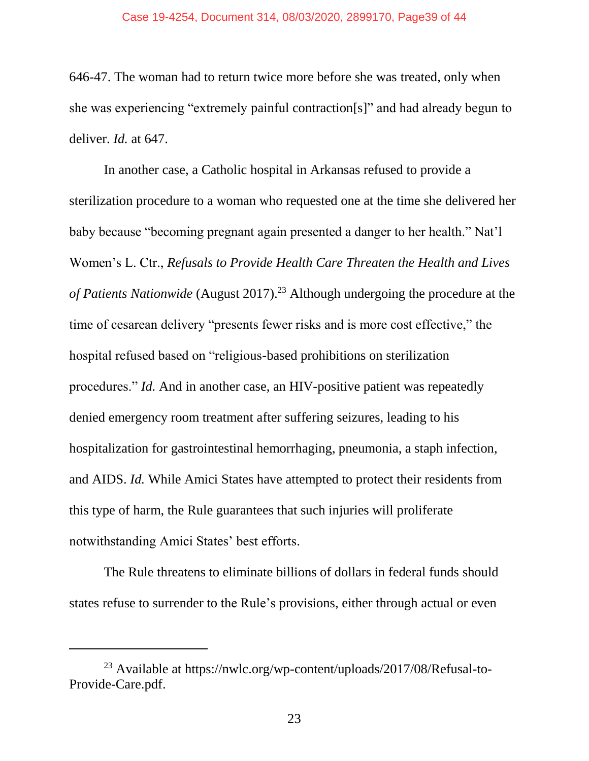646-47. The woman had to return twice more before she was treated, only when she was experiencing "extremely painful contraction[s]" and had already begun to deliver. *Id.* at 647.

In another case, a Catholic hospital in Arkansas refused to provide a sterilization procedure to a woman who requested one at the time she delivered her baby because "becoming pregnant again presented a danger to her health." Nat'l Women's L. Ctr., *Refusals to Provide Health Care Threaten the Health and Lives of Patients Nationwide* (August 2017).<sup>23</sup> Although undergoing the procedure at the time of cesarean delivery "presents fewer risks and is more cost effective," the hospital refused based on "religious-based prohibitions on sterilization procedures." *Id.* And in another case, an HIV-positive patient was repeatedly denied emergency room treatment after suffering seizures, leading to his hospitalization for gastrointestinal hemorrhaging, pneumonia, a staph infection, and AIDS. *Id.* While Amici States have attempted to protect their residents from this type of harm, the Rule guarantees that such injuries will proliferate notwithstanding Amici States' best efforts.

The Rule threatens to eliminate billions of dollars in federal funds should states refuse to surrender to the Rule's provisions, either through actual or even

 $\overline{a}$ 

<sup>23</sup> Available at https://nwlc.org/wp-content/uploads/2017/08/Refusal-to-Provide-Care.pdf.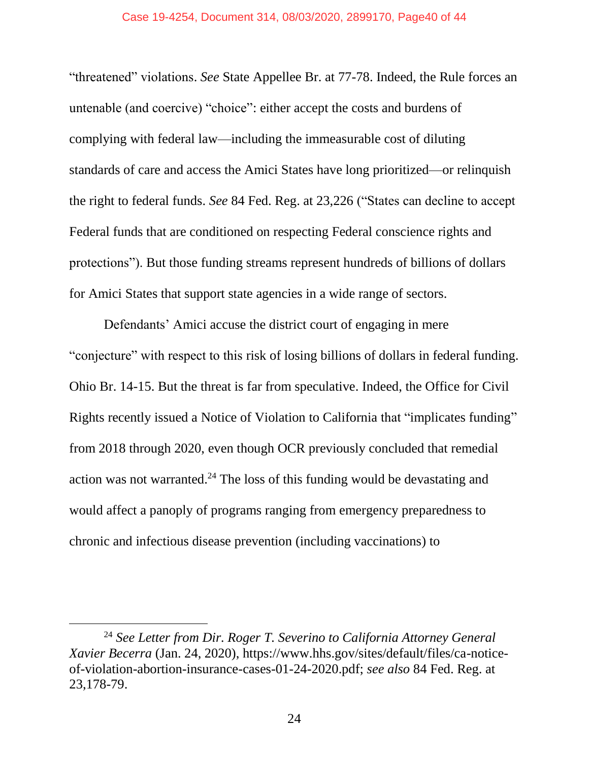#### Case 19-4254, Document 314, 08/03/2020, 2899170, Page40 of 44

"threatened" violations. *See* State Appellee Br. at 77-78. Indeed, the Rule forces an untenable (and coercive) "choice": either accept the costs and burdens of complying with federal law—including the immeasurable cost of diluting standards of care and access the Amici States have long prioritized—or relinquish the right to federal funds. *See* 84 Fed. Reg. at 23,226 ("States can decline to accept Federal funds that are conditioned on respecting Federal conscience rights and protections"). But those funding streams represent hundreds of billions of dollars for Amici States that support state agencies in a wide range of sectors.

Defendants' Amici accuse the district court of engaging in mere "conjecture" with respect to this risk of losing billions of dollars in federal funding. Ohio Br. 14-15. But the threat is far from speculative. Indeed, the Office for Civil Rights recently issued a Notice of Violation to California that "implicates funding" from 2018 through 2020, even though OCR previously concluded that remedial action was not warranted. $^{24}$  The loss of this funding would be devastating and would affect a panoply of programs ranging from emergency preparedness to chronic and infectious disease prevention (including vaccinations) to

 $\overline{a}$ 

<sup>24</sup> *See Letter from Dir. Roger T. Severino to California Attorney General Xavier Becerra* (Jan. 24, 2020), https://www.hhs.gov/sites/default/files/ca-noticeof-violation-abortion-insurance-cases-01-24-2020.pdf; *see also* 84 Fed. Reg. at 23,178-79.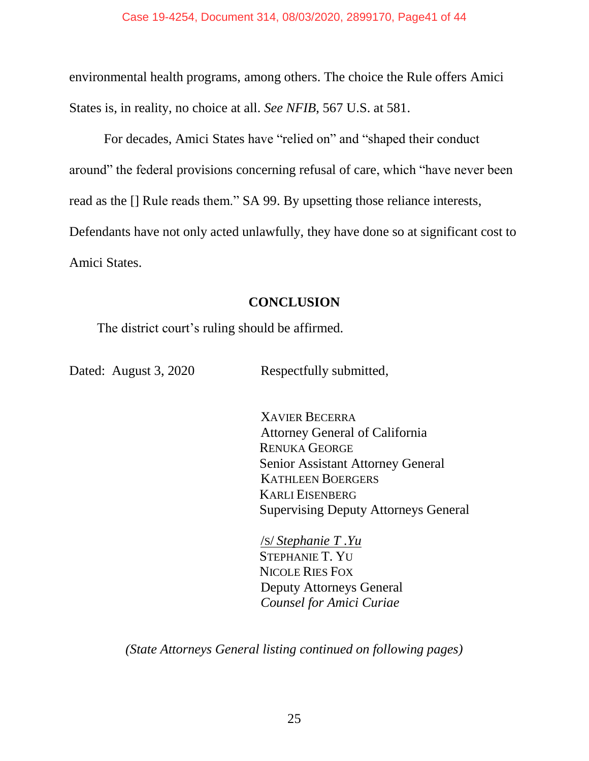environmental health programs, among others. The choice the Rule offers Amici States is, in reality, no choice at all. *See NFIB*, 567 U.S. at 581.

For decades, Amici States have "relied on" and "shaped their conduct around" the federal provisions concerning refusal of care, which "have never been read as the [] Rule reads them." SA 99. By upsetting those reliance interests, Defendants have not only acted unlawfully, they have done so at significant cost to Amici States.

## **CONCLUSION**

The district court's ruling should be affirmed.

Dated: August 3, 2020 Respectfully submitted,

XAVIER BECERRA Attorney General of California RENUKA GEORGE Senior Assistant Attorney General KATHLEEN BOERGERS KARLI EISENBERG Supervising Deputy Attorneys General

/S/ *Stephanie T .Yu* STEPHANIE T. YU NICOLE RIES FOX Deputy Attorneys General *Counsel for Amici Curiae*

*(State Attorneys General listing continued on following pages)*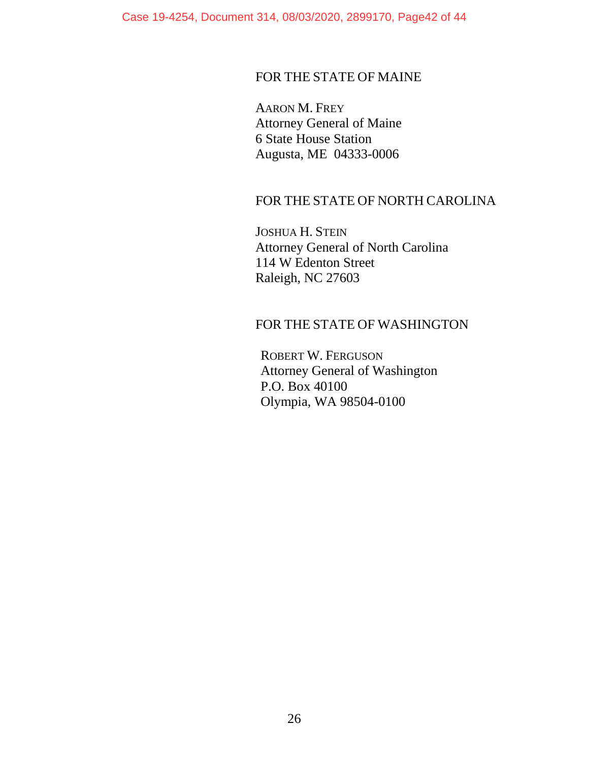Case 19-4254, Document 314, 08/03/2020, 2899170, Page42 of 44

#### FOR THE STATE OF MAINE

AARON M. FREY Attorney General of Maine 6 State House Station Augusta, ME 04333-0006

#### FOR THE STATE OF NORTH CAROLINA

JOSHUA H. STEIN Attorney General of North Carolina 114 W Edenton Street Raleigh, NC 27603

## FOR THE STATE OF WASHINGTON

ROBERT W. FERGUSON Attorney General of Washington P.O. Box 40100 Olympia, WA 98504-0100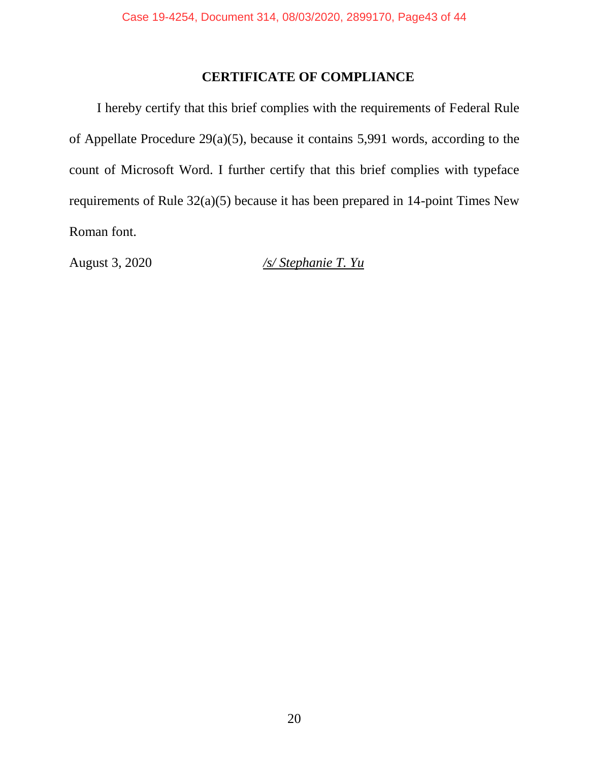# **CERTIFICATE OF COMPLIANCE**

I hereby certify that this brief complies with the requirements of Federal Rule of Appellate Procedure 29(a)(5), because it contains 5,991 words, according to the count of Microsoft Word. I further certify that this brief complies with typeface requirements of Rule 32(a)(5) because it has been prepared in 14-point Times New Roman font.

August 3, 2020 */s/ Stephanie T. Yu*